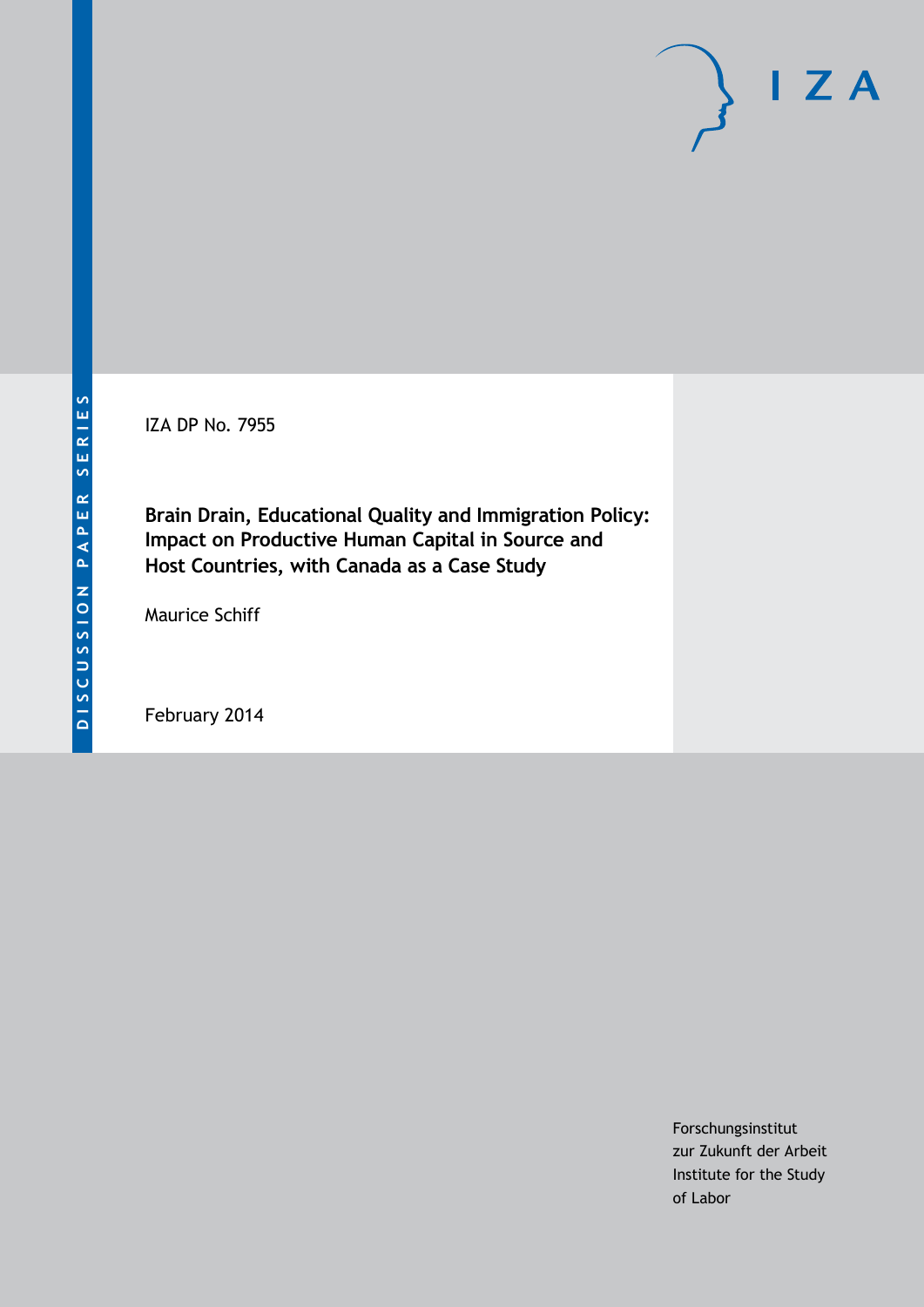IZA DP No. 7955

**Brain Drain, Educational Quality and Immigration Policy: Impact on Productive Human Capital in Source and Host Countries, with Canada as a Case Study**

Maurice Schiff

February 2014

Forschungsinstitut zur Zukunft der Arbeit Institute for the Study of Labor

 $I Z A$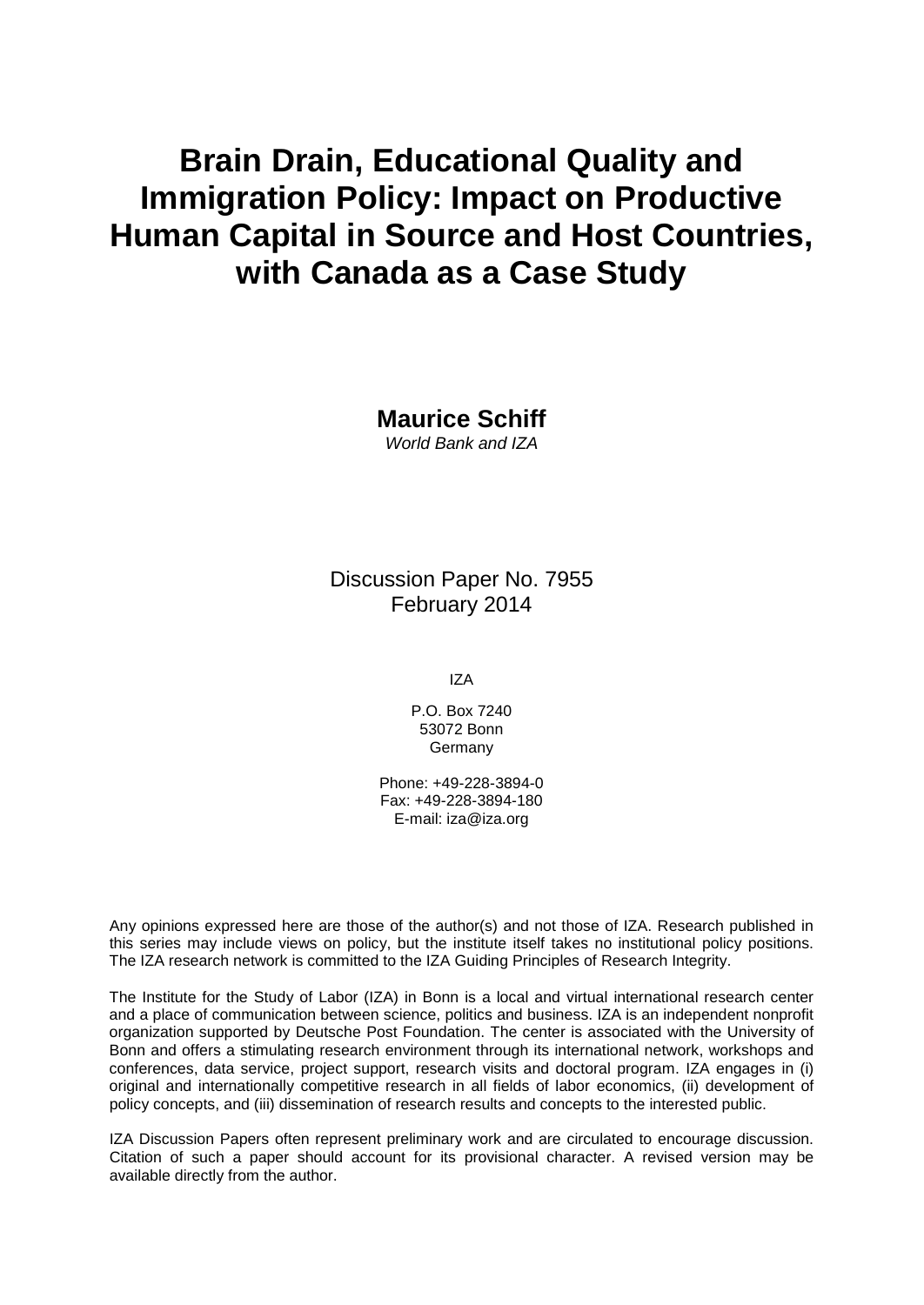# **Brain Drain, Educational Quality and Immigration Policy: Impact on Productive Human Capital in Source and Host Countries, with Canada as a Case Study**

**Maurice Schiff** *World Bank and IZA*

Discussion Paper No. 7955 February 2014

IZA

P.O. Box 7240 53072 Bonn Germany

Phone: +49-228-3894-0 Fax: +49-228-3894-180 E-mail: [iza@iza.org](mailto:iza@iza.org)

Any opinions expressed here are those of the author(s) and not those of IZA. Research published in this series may include views on policy, but the institute itself takes no institutional policy positions. The IZA research network is committed to the IZA Guiding Principles of Research Integrity.

The Institute for the Study of Labor (IZA) in Bonn is a local and virtual international research center and a place of communication between science, politics and business. IZA is an independent nonprofit organization supported by Deutsche Post Foundation. The center is associated with the University of Bonn and offers a stimulating research environment through its international network, workshops and conferences, data service, project support, research visits and doctoral program. IZA engages in (i) original and internationally competitive research in all fields of labor economics, (ii) development of policy concepts, and (iii) dissemination of research results and concepts to the interested public.

IZA Discussion Papers often represent preliminary work and are circulated to encourage discussion. Citation of such a paper should account for its provisional character. A revised version may be available directly from the author.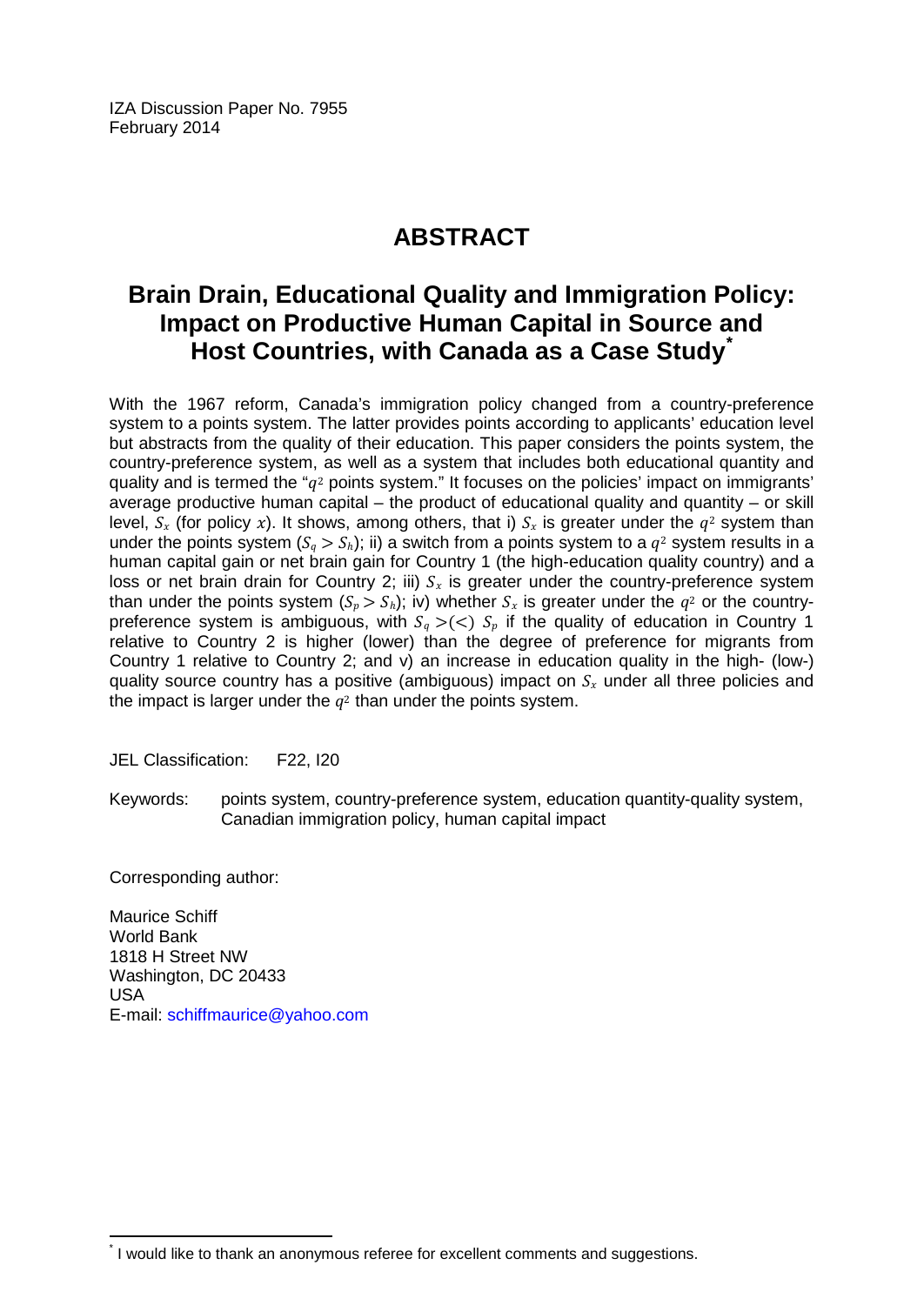IZA Discussion Paper No. 7955 February 2014

# **ABSTRACT**

# **Brain Drain, Educational Quality and Immigration Policy: Impact on Productive Human Capital in Source and Host Countries, with Canada as a Case Study[\\*](#page-2-0)**

With the 1967 reform, Canada's immigration policy changed from a country-preference system to a points system. The latter provides points according to applicants' education level but abstracts from the quality of their education. This paper considers the points system, the country-preference system, as well as a system that includes both educational quantity and quality and is termed the " $q^2$  points system." It focuses on the policies' impact on immigrants' average productive human capital – the product of educational quality and quantity – or skill level,  $S_x$  (for policy x). It shows, among others, that i)  $S_x$  is greater under the  $q^2$  system than under the points system  $(S_a > S_b)$ ; ii) a switch from a points system to a  $a^2$  system results in a human capital gain or net brain gain for Country 1 (the high-education quality country) and a loss or net brain drain for Country 2; iii)  $S_x$  is greater under the country-preference system than under the points system  $(S_p > S_h)$ ; iv) whether  $S_x$  is greater under the  $q^2$  or the countrypreference system is ambiguous, with  $S_q > (*S*<sub>p</sub>$  if the quality of education in Country 1 relative to Country 2 is higher (lower) than the degree of preference for migrants from Country 1 relative to Country 2; and v) an increase in education quality in the high- (low-) quality source country has a positive (ambiguous) impact on  $S<sub>x</sub>$  under all three policies and the impact is larger under the  $q^2$  than under the points system.

JEL Classification: F22, I20

Keywords: points system, country-preference system, education quantity-quality system, Canadian immigration policy, human capital impact

Corresponding author:

Maurice Schiff World Bank 1818 H Street NW Washington, DC 20433 USA E-mail: [schiffmaurice@yahoo.com](mailto:schiffmaurice@yahoo.com)

<span id="page-2-0"></span>I would like to thank an anonymous referee for excellent comments and suggestions.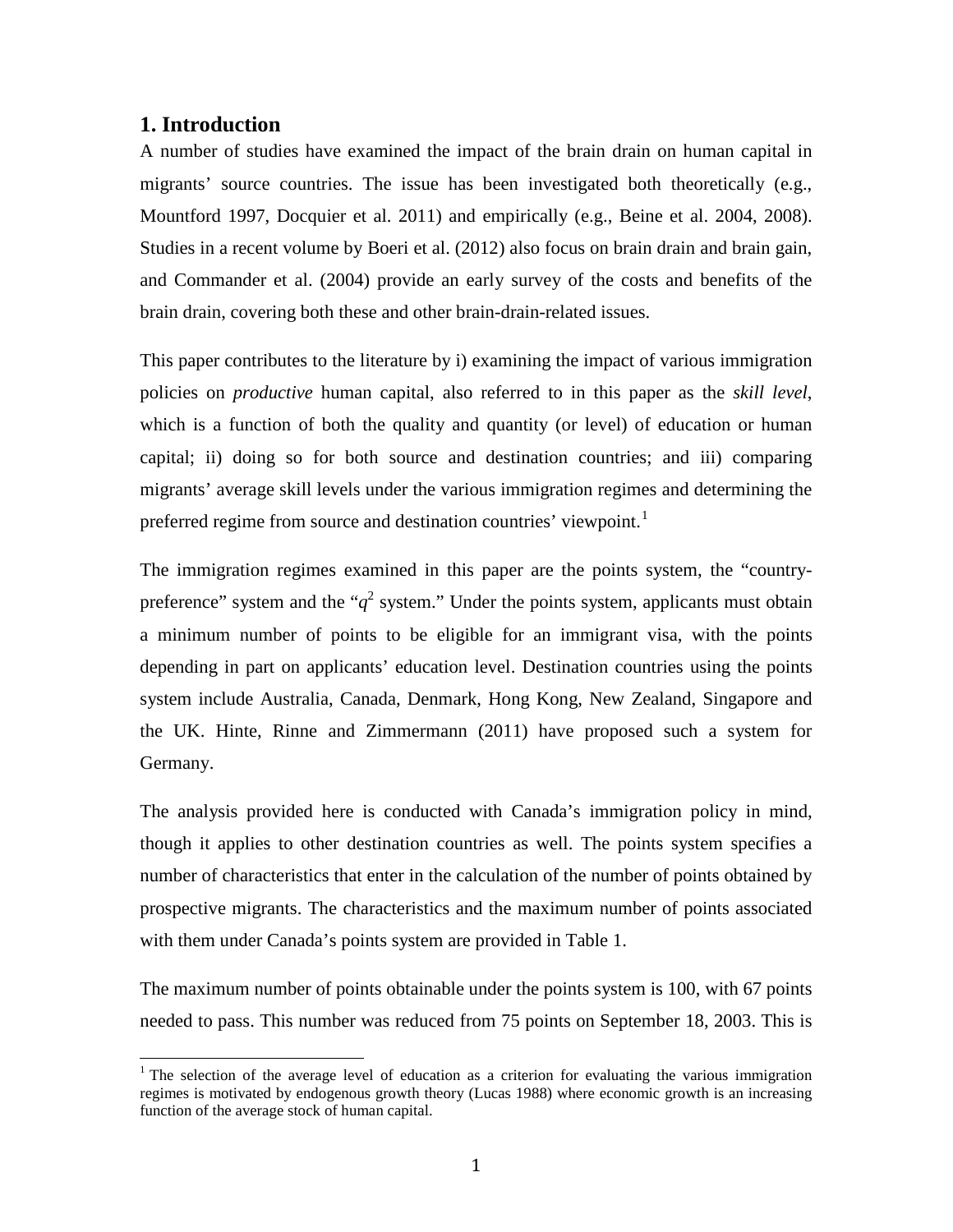### **1. Introduction**

A number of studies have examined the impact of the brain drain on human capital in migrants' source countries. The issue has been investigated both theoretically (e.g., Mountford 1997, Docquier et al. 2011) and empirically (e.g., Beine et al. 2004, 2008). Studies in a recent volume by Boeri et al. (2012) also focus on brain drain and brain gain, and Commander et al. (2004) provide an early survey of the costs and benefits of the brain drain, covering both these and other brain-drain-related issues.

This paper contributes to the literature by i) examining the impact of various immigration policies on *productive* human capital, also referred to in this paper as the *skill level*, which is a function of both the quality and quantity (or level) of education or human capital; ii) doing so for both source and destination countries; and iii) comparing migrants' average skill levels under the various immigration regimes and determining the preferred regime from source and destination countries' viewpoint.<sup>[1](#page-20-0)</sup>

The immigration regimes examined in this paper are the points system, the "countrypreference" system and the " $q^2$  system." Under the points system, applicants must obtain a minimum number of points to be eligible for an immigrant visa, with the points depending in part on applicants' education level. Destination countries using the points system include Australia, Canada, Denmark, Hong Kong, New Zealand, Singapore and the UK. Hinte, Rinne and Zimmermann (2011) have proposed such a system for Germany.

The analysis provided here is conducted with Canada's immigration policy in mind, though it applies to other destination countries as well. The points system specifies a number of characteristics that enter in the calculation of the number of points obtained by prospective migrants. The characteristics and the maximum number of points associated with them under Canada's points system are provided in Table 1.

The maximum number of points obtainable under the points system is 100, with 67 points needed to pass. This number was reduced from 75 points on September 18, 2003. This is

<span id="page-3-0"></span> $1$ <sup>1</sup> The selection of the average level of education as a criterion for evaluating the various immigration regimes is motivated by endogenous growth theory (Lucas 1988) where economic growth is an increasing function of the average stock of human capital.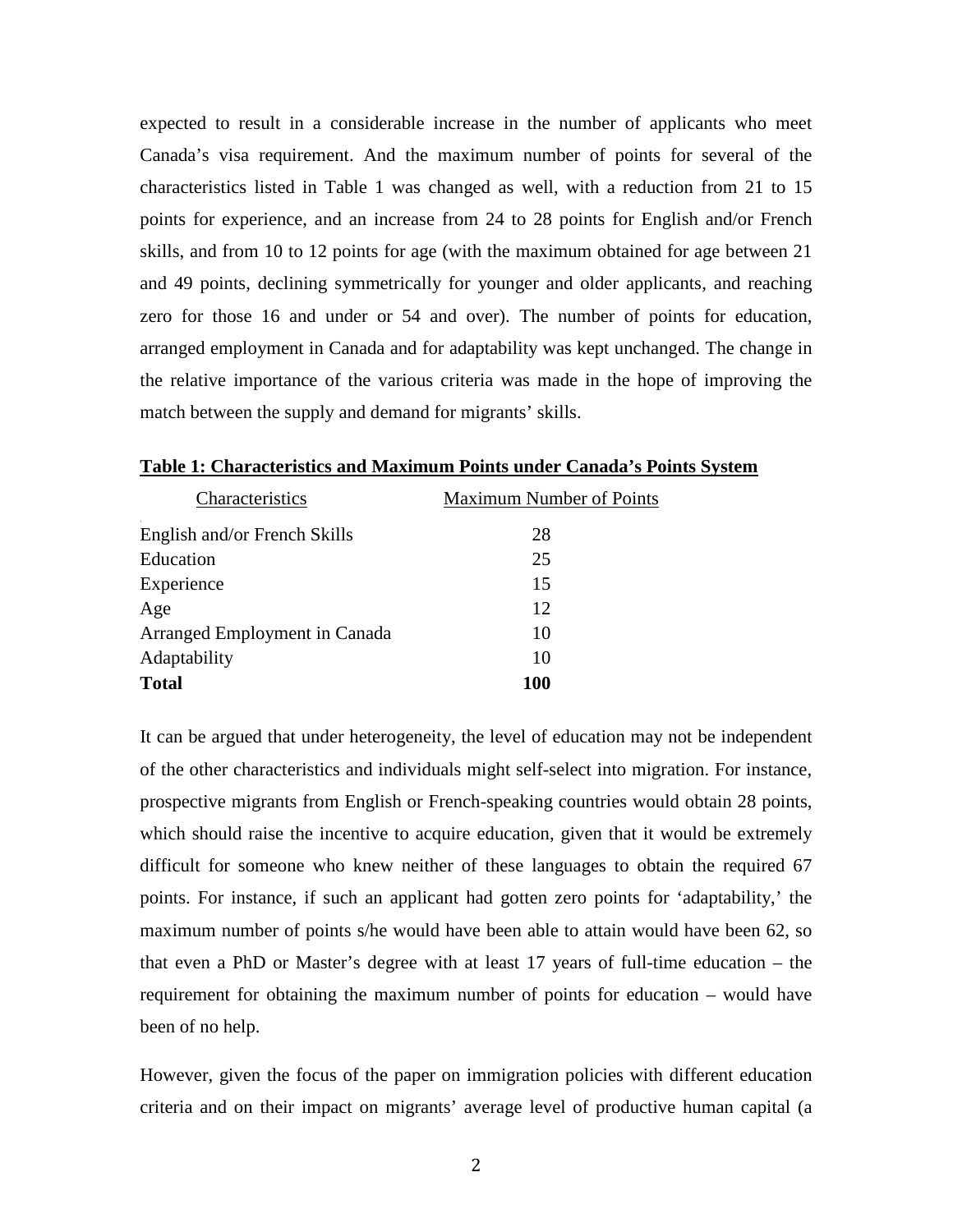expected to result in a considerable increase in the number of applicants who meet Canada's visa requirement. And the maximum number of points for several of the characteristics listed in Table 1 was changed as well, with a reduction from 21 to 15 points for experience, and an increase from 24 to 28 points for English and/or French skills, and from 10 to 12 points for age (with the maximum obtained for age between 21 and 49 points, declining symmetrically for younger and older applicants, and reaching zero for those 16 and under or 54 and over). The number of points for education, arranged employment in Canada and for adaptability was kept unchanged. The change in the relative importance of the various criteria was made in the hope of improving the match between the supply and demand for migrants' skills.

| <b>Maximum Number of Points</b> |
|---------------------------------|
| 28                              |
| 25                              |
| 15                              |
| 12                              |
| 10                              |
| 10                              |
| 100                             |
|                                 |

**Table 1: Characteristics and Maximum Points under Canada's Points System**

It can be argued that under heterogeneity, the level of education may not be independent of the other characteristics and individuals might self-select into migration. For instance, prospective migrants from English or French-speaking countries would obtain 28 points, which should raise the incentive to acquire education, given that it would be extremely difficult for someone who knew neither of these languages to obtain the required 67 points. For instance, if such an applicant had gotten zero points for 'adaptability,' the maximum number of points s/he would have been able to attain would have been 62, so that even a PhD or Master's degree with at least 17 years of full-time education – the requirement for obtaining the maximum number of points for education – would have been of no help.

However, given the focus of the paper on immigration policies with different education criteria and on their impact on migrants' average level of productive human capital (a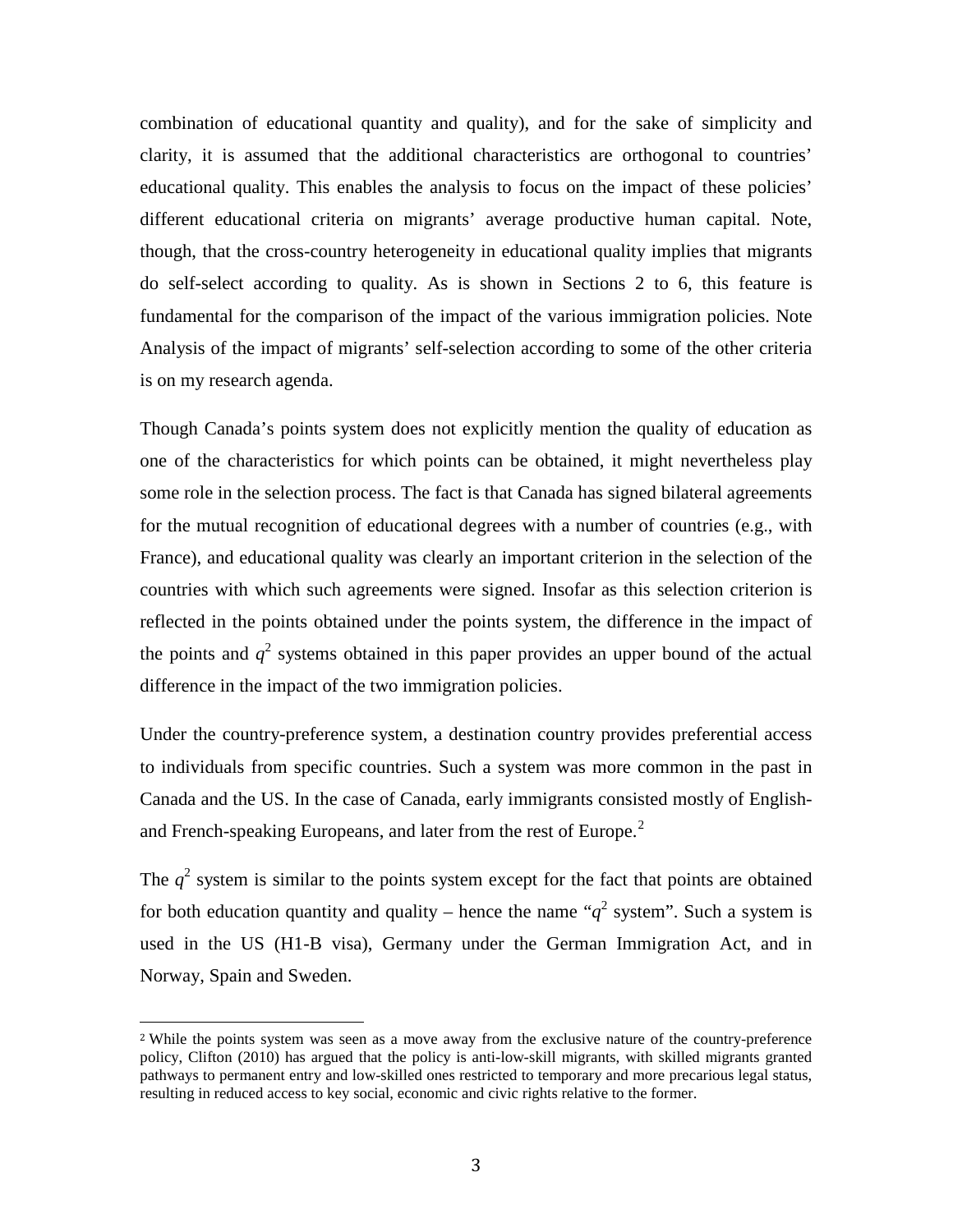combination of educational quantity and quality), and for the sake of simplicity and clarity, it is assumed that the additional characteristics are orthogonal to countries' educational quality. This enables the analysis to focus on the impact of these policies' different educational criteria on migrants' average productive human capital. Note, though, that the cross-country heterogeneity in educational quality implies that migrants do self-select according to quality. As is shown in Sections 2 to 6, this feature is fundamental for the comparison of the impact of the various immigration policies. Note Analysis of the impact of migrants' self-selection according to some of the other criteria is on my research agenda.

Though Canada's points system does not explicitly mention the quality of education as one of the characteristics for which points can be obtained, it might nevertheless play some role in the selection process. The fact is that Canada has signed bilateral agreements for the mutual recognition of educational degrees with a number of countries (e.g., with France), and educational quality was clearly an important criterion in the selection of the countries with which such agreements were signed. Insofar as this selection criterion is reflected in the points obtained under the points system, the difference in the impact of the points and  $q^2$  systems obtained in this paper provides an upper bound of the actual difference in the impact of the two immigration policies.

Under the country-preference system, a destination country provides preferential access to individuals from specific countries. Such a system was more common in the past in Canada and the US. In the case of Canada, early immigrants consisted mostly of English-and French-speaking Europeans, and later from the rest of Europe.<sup>[2](#page-3-0)</sup>

The  $q^2$  system is similar to the points system except for the fact that points are obtained for both education quantity and quality – hence the name " $q^2$  system". Such a system is used in the US (H1-B visa), Germany under the German Immigration Act, and in Norway, Spain and Sweden.

<span id="page-5-0"></span><sup>&</sup>lt;sup>2</sup> While the points system was seen as a move away from the exclusive nature of the country-preference policy, Clifton (2010) has argued that the policy is anti-low-skill migrants, with skilled migrants granted pathways to permanent entry and low-skilled ones restricted to temporary and more precarious legal status, resulting in reduced access to key social, economic and civic rights relative to the former.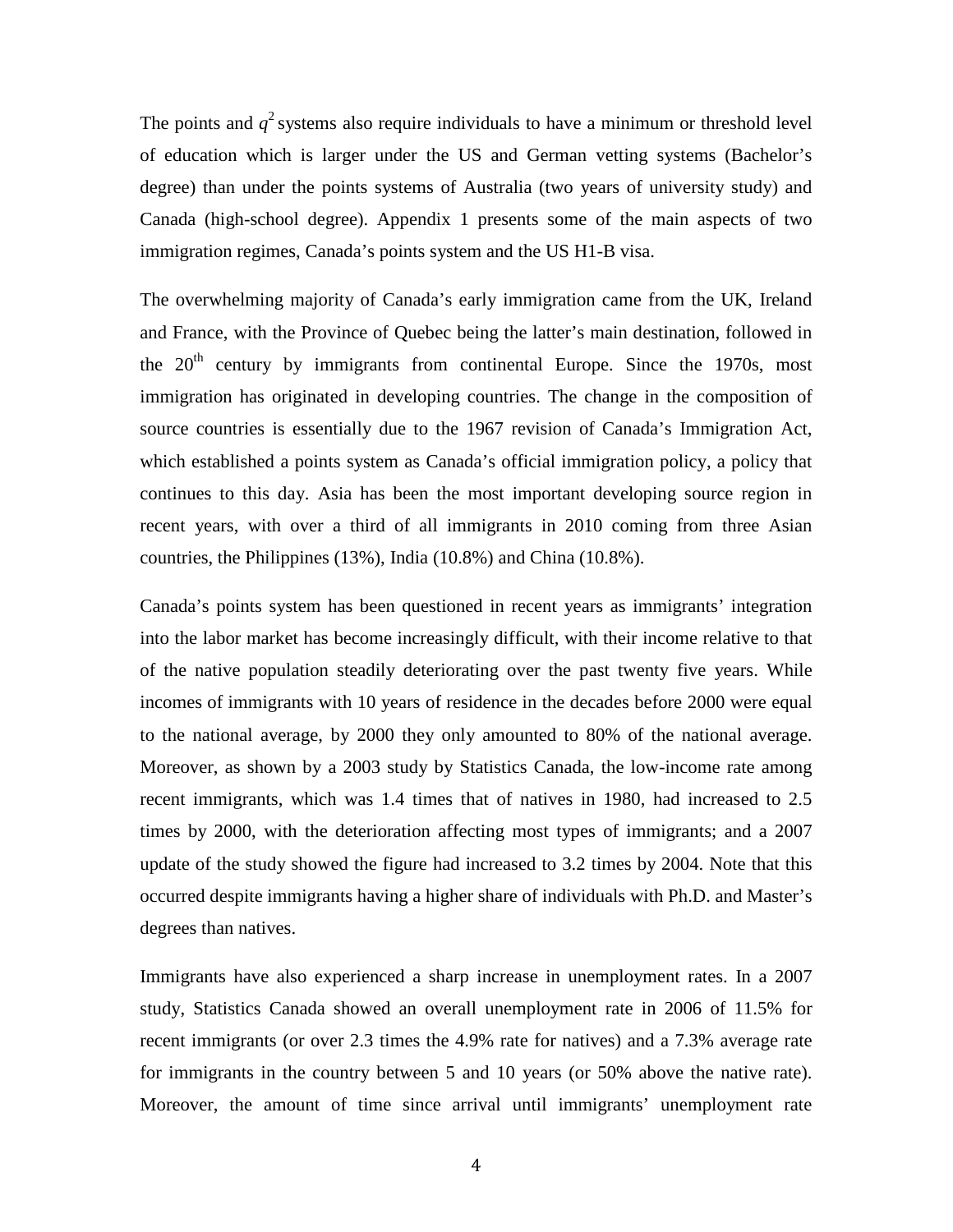The points and  $q^2$  systems also require individuals to have a minimum or threshold level of education which is larger under the US and German vetting systems (Bachelor's degree) than under the points systems of Australia (two years of university study) and Canada (high-school degree). Appendix 1 presents some of the main aspects of two immigration regimes, Canada's points system and the US H1-B visa.

The overwhelming majority of Canada's early immigration came from the UK, Ireland and France, with the Province of Quebec being the latter's main destination, followed in the  $20<sup>th</sup>$  century by immigrants from continental Europe. Since the 1970s, most immigration has originated in developing countries. The change in the composition of source countries is essentially due to the 1967 revision of Canada's Immigration Act, which established a points system as Canada's official immigration policy, a policy that continues to this day. Asia has been the most important developing source region in recent years, with over a third of all immigrants in 2010 coming from three Asian countries, the Philippines (13%), India (10.8%) and China (10.8%).

Canada's points system has been questioned in recent years as immigrants' integration into the labor market has become increasingly difficult, with their income relative to that of the native population steadily deteriorating over the past twenty five years. While incomes of immigrants with 10 years of residence in the decades before 2000 were equal to the national average, by 2000 they only amounted to 80% of the national average. Moreover, as shown by a 2003 study by Statistics Canada, the low-income rate among recent immigrants, which was 1.4 times that of natives in 1980, had increased to 2.5 times by 2000, with the deterioration affecting most types of immigrants; and a 2007 update of the study showed the figure had increased to 3.2 times by 2004. Note that this occurred despite immigrants having a higher share of individuals with Ph.D. and Master's degrees than natives.

Immigrants have also experienced a sharp increase in unemployment rates. In a 2007 study, Statistics Canada showed an overall unemployment rate in 2006 of 11.5% for recent immigrants (or over 2.3 times the 4.9% rate for natives) and a 7.3% average rate for immigrants in the country between 5 and 10 years (or 50% above the native rate). Moreover, the amount of time since arrival until immigrants' unemployment rate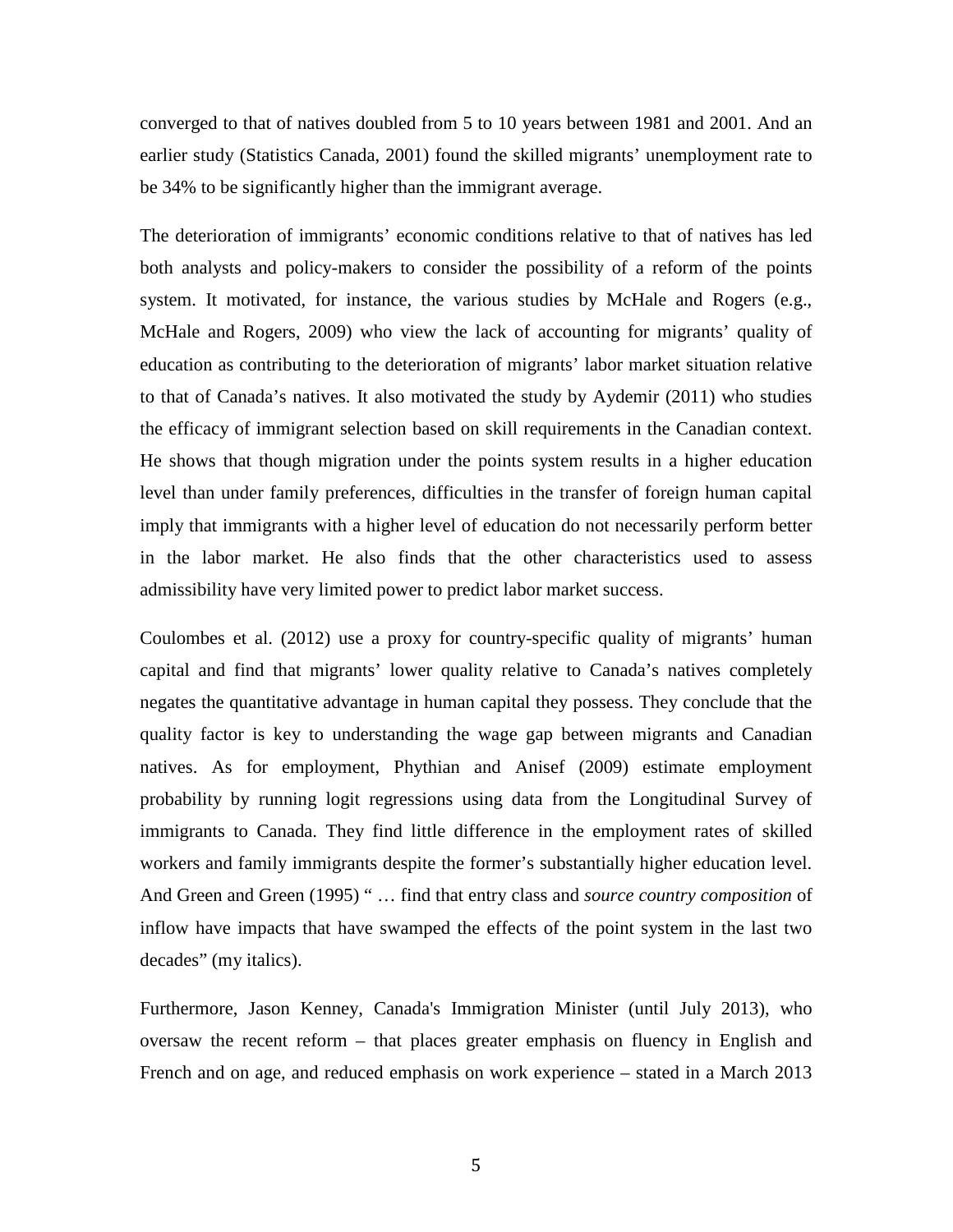converged to that of natives doubled from 5 to 10 years between 1981 and 2001. And an earlier study (Statistics Canada, 2001) found the skilled migrants' unemployment rate to be 34% to be significantly higher than the immigrant average.

The deterioration of immigrants' economic conditions relative to that of natives has led both analysts and policy-makers to consider the possibility of a reform of the points system. It motivated, for instance, the various studies by McHale and Rogers (e.g., McHale and Rogers, 2009) who view the lack of accounting for migrants' quality of education as contributing to the deterioration of migrants' labor market situation relative to that of Canada's natives. It also motivated the study by Aydemir (2011) who studies the efficacy of immigrant selection based on skill requirements in the Canadian context. He shows that though migration under the points system results in a higher education level than under family preferences, difficulties in the transfer of foreign human capital imply that immigrants with a higher level of education do not necessarily perform better in the labor market. He also finds that the other characteristics used to assess admissibility have very limited power to predict labor market success.

Coulombes et al. (2012) use a proxy for country-specific quality of migrants' human capital and find that migrants' lower quality relative to Canada's natives completely negates the quantitative advantage in human capital they possess. They conclude that the quality factor is key to understanding the wage gap between migrants and Canadian natives. As for employment, Phythian and Anisef (2009) estimate employment probability by running logit regressions using data from the Longitudinal Survey of immigrants to Canada. They find little difference in the employment rates of skilled workers and family immigrants despite the former's substantially higher education level. And Green and Green (1995) " … find that entry class and *source country composition* of inflow have impacts that have swamped the effects of the point system in the last two decades" (my italics).

Furthermore, Jason Kenney, Canada's Immigration Minister (until July 2013), who oversaw the recent reform – that places greater emphasis on fluency in English and French and on age, and reduced emphasis on work experience – stated in a March 2013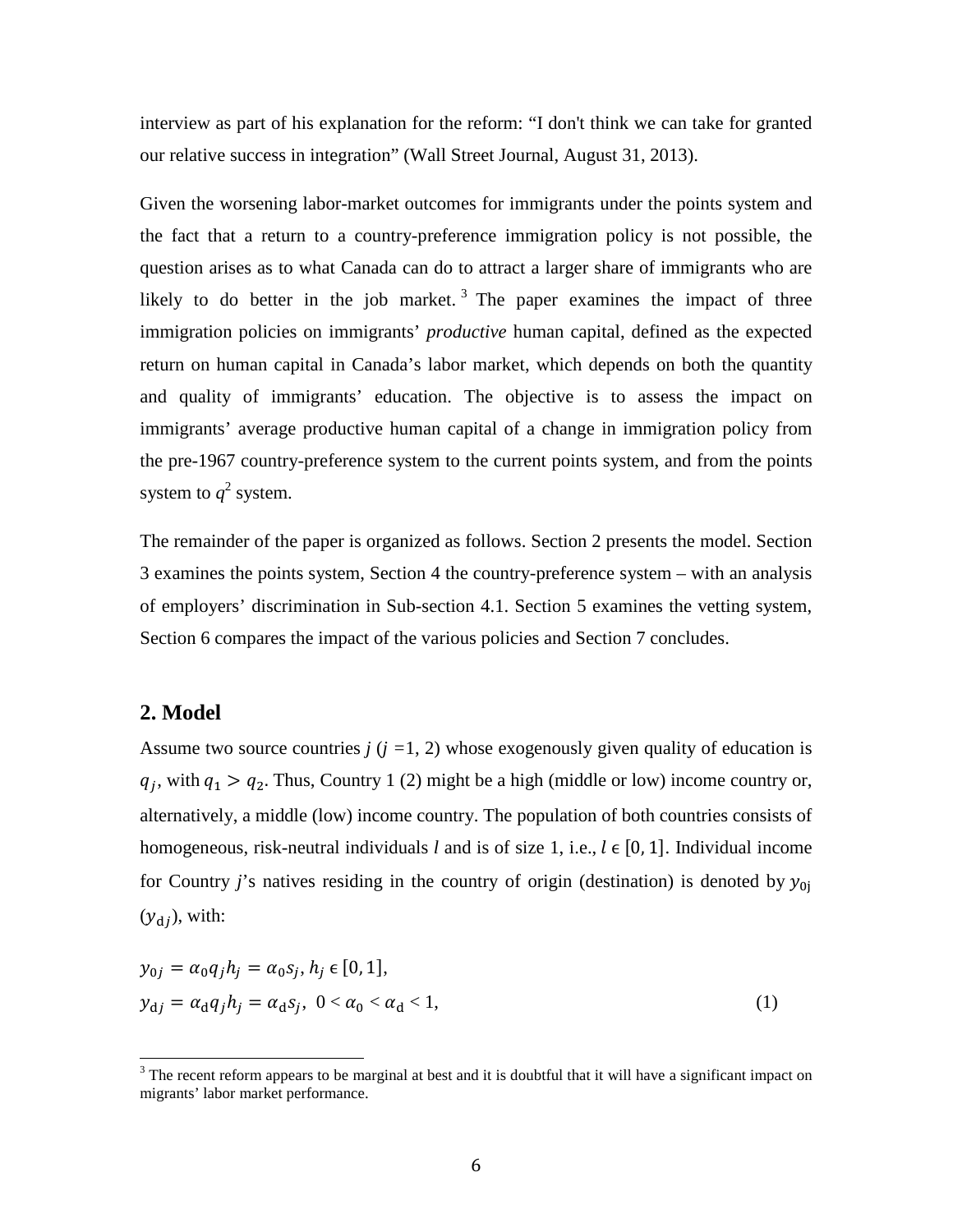interview as part of his explanation for the reform: "I don't think we can take for granted our relative success in integration" (Wall Street Journal, August 31, 2013).

Given the worsening labor-market outcomes for immigrants under the points system and the fact that a return to a country-preference immigration policy is not possible, the question arises as to what Canada can do to attract a larger share of immigrants who are likely to do better in the job market.<sup>[3](#page-5-0)</sup> The paper examines the impact of three immigration policies on immigrants' *productive* human capital, defined as the expected return on human capital in Canada's labor market, which depends on both the quantity and quality of immigrants' education. The objective is to assess the impact on immigrants' average productive human capital of a change in immigration policy from the pre-1967 country-preference system to the current points system, and from the points system to  $q^2$  system.

The remainder of the paper is organized as follows. Section 2 presents the model. Section 3 examines the points system, Section 4 the country-preference system – with an analysis of employers' discrimination in Sub-section 4.1. Section 5 examines the vetting system, Section 6 compares the impact of the various policies and Section 7 concludes.

### **2. Model**

Assume two source countries *j* (*j =*1, 2) whose exogenously given quality of education is  $q_i$ , with  $q_1 > q_2$ . Thus, Country 1 (2) might be a high (middle or low) income country or, alternatively, a middle (low) income country. The population of both countries consists of homogeneous, risk-neutral individuals *l* and is of size 1, i.e.,  $l \in [0, 1]$ . Individual income for Country *j*'s natives residing in the country of origin (destination) is denoted by  $y_{0j}$  $(y_{di})$ , with:

<span id="page-8-0"></span>
$$
y_{0j} = \alpha_0 q_j h_j = \alpha_0 s_j, h_j \in [0, 1],
$$
  
\n
$$
y_{\rm d} = \alpha_{\rm d} q_j h_j = \alpha_{\rm d} s_j, \quad 0 < \alpha_0 < \alpha_{\rm d} < 1,
$$
\n
$$
(1)
$$

 $3$  The recent reform appears to be marginal at best and it is doubtful that it will have a significant impact on migrants' labor market performance.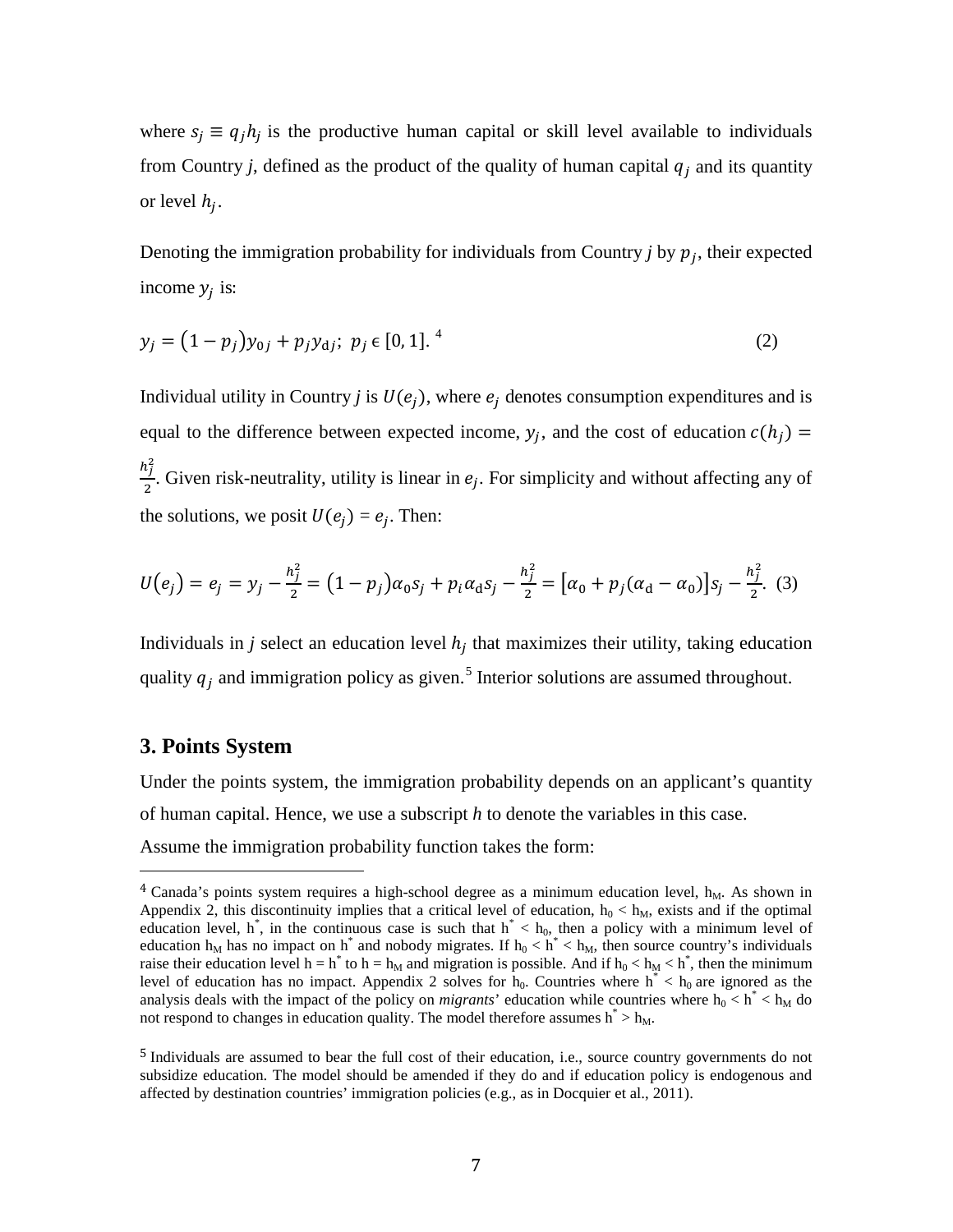where  $s_i \equiv q_i h_i$  is the productive human capital or skill level available to individuals from Country *j*, defined as the product of the quality of human capital  $q_i$  and its quantity or level  $h_i$ .

Denoting the immigration probability for individuals from Country  $j$  by  $p_j$ , their expected income  $y_i$  is:

$$
y_j = (1 - p_j)y_{0j} + p_j y_{dj}; \ p_j \in [0, 1].4
$$
 (2)

Individual utility in Country *j* is  $U(e_i)$ , where  $e_i$  denotes consumption expenditures and is equal to the difference between expected income,  $y_j$ , and the cost of education  $c(h_j)$  =  $h_j^2$  $\frac{1}{2}$ . Given risk-neutrality, utility is linear in  $e_j$ . For simplicity and without affecting any of the solutions, we posit  $U(e_i) = e_i$ . Then:

$$
U(e_j) = e_j = y_j - \frac{h_j^2}{2} = (1 - p_j)\alpha_0 s_j + p_i \alpha_d s_j - \frac{h_j^2}{2} = [\alpha_0 + p_j(\alpha_d - \alpha_0)]s_j - \frac{h_j^2}{2}.
$$
 (3)

Individuals in *j* select an education level  $h_i$  that maximizes their utility, taking education quality  $q_j$  and immigration policy as given.<sup>[5](#page-9-0)</sup> Interior solutions are assumed throughout.

### **3. Points System**

Under the points system, the immigration probability depends on an applicant's quantity of human capital. Hence, we use a subscript *h* to denote the variables in this case. Assume the immigration probability function takes the form:

 $4$  Canada's points system requires a high-school degree as a minimum education level,  $h_M$ . As shown in Appendix 2, this discontinuity implies that a critical level of education,  $h_0 < h_M$ , exists and if the optimal education level, h<sup>\*</sup>, in the continuous case is such that  $h^* < h_0$ , then a policy with a minimum level of education  $h_M$  has no impact on h<sup>\*</sup> and nobody migrates. If  $h_0 < h^* < h_M$ , then source country's individuals raise their education level  $h = h^*$  to  $h = h_M$  and migration is possible. And if  $h_0 < h_M < h^*$ , then the minimum level of education has no impact. Appendix 2 solves for  $h_0$ . Countries where  $h^* < h_0$  are ignored as the analysis deals with the impact of the policy on *migrants*' education while countries where  $h_0 < h^* < h_M$  do not respond to changes in education quality. The model therefore assumes  $h^* > h_M$ .

<span id="page-9-1"></span><span id="page-9-0"></span><sup>5</sup> Individuals are assumed to bear the full cost of their education, i.e., source country governments do not subsidize education. The model should be amended if they do and if education policy is endogenous and affected by destination countries' immigration policies (e.g., as in Docquier et al., 2011).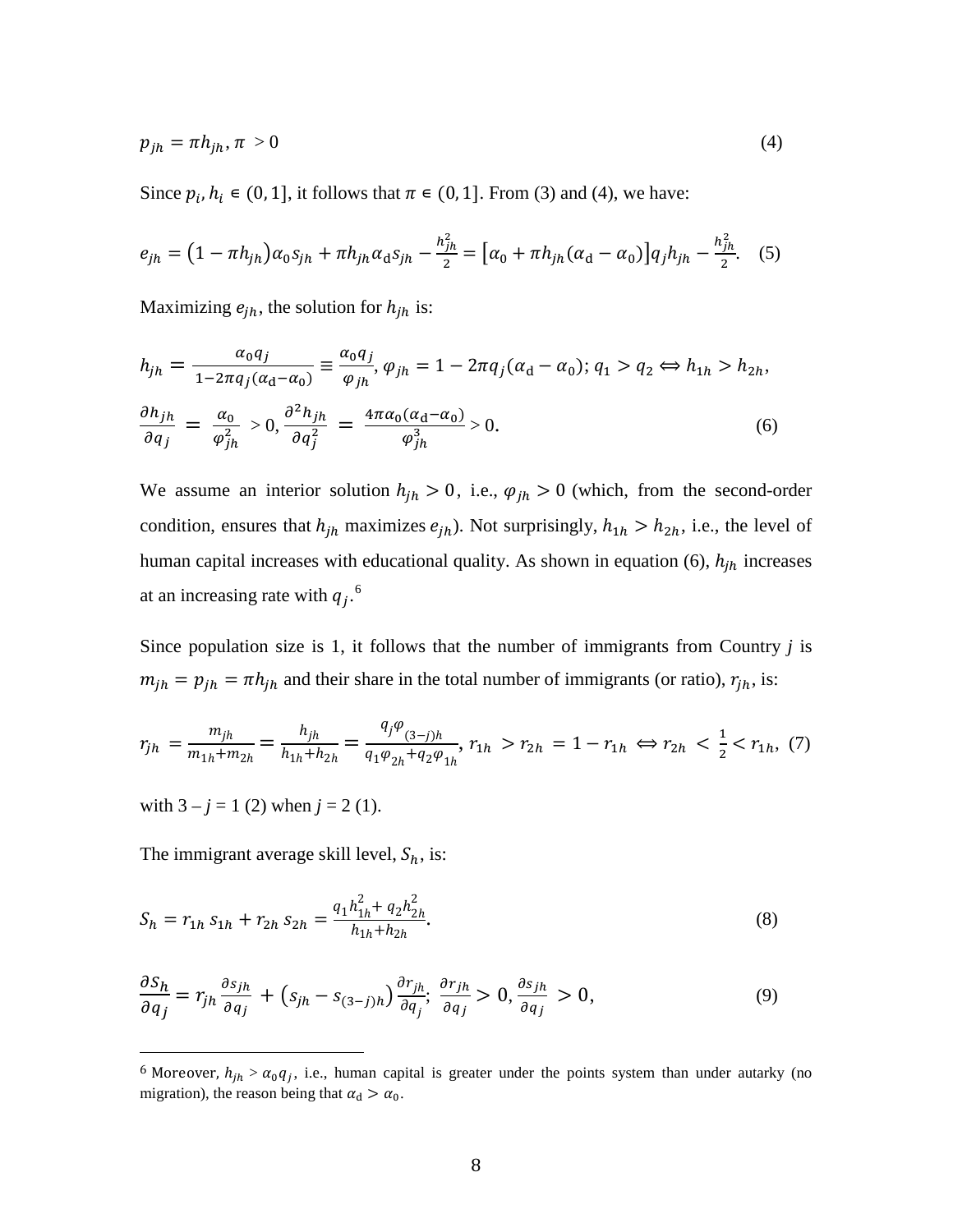$$
p_{jh} = \pi h_{jh}, \pi > 0 \tag{4}
$$

Since  $p_i, h_i \in (0, 1]$ , it follows that  $\pi \in (0, 1]$ . From (3) and (4), we have:

$$
e_{jh} = (1 - \pi h_{jh})\alpha_0 s_{jh} + \pi h_{jh}\alpha_d s_{jh} - \frac{h_{jh}^2}{2} = [\alpha_0 + \pi h_{jh}(\alpha_d - \alpha_0)]q_j h_{jh} - \frac{h_{jh}^2}{2}.
$$
 (5)

Maximizing  $e_{jh}$ , the solution for  $h_{jh}$  is:

$$
h_{jh} = \frac{\alpha_0 q_j}{1 - 2\pi q_j (\alpha_d - \alpha_0)} \equiv \frac{\alpha_0 q_j}{\varphi_{jh}}, \varphi_{jh} = 1 - 2\pi q_j (\alpha_d - \alpha_0); q_1 > q_2 \Leftrightarrow h_{1h} > h_{2h},
$$
  

$$
\frac{\partial h_{jh}}{\partial q_j} = \frac{\alpha_0}{\varphi_{jh}^2} > 0, \frac{\partial^2 h_{jh}}{\partial q_j^2} = \frac{4\pi \alpha_0 (\alpha_d - \alpha_0)}{\varphi_{jh}^3} > 0.
$$
 (6)

We assume an interior solution  $h_{jh} > 0$ , i.e.,  $\varphi_{jh} > 0$  (which, from the second-order condition, ensures that  $h_{jh}$  maximizes  $e_{jh}$ ). Not surprisingly,  $h_{1h} > h_{2h}$ , i.e., the level of human capital increases with educational quality. As shown in equation (6),  $h_{jh}$  increases at an increasing rate with  $q_j$ .<sup>[6](#page-9-1)</sup>

Since population size is 1, it follows that the number of immigrants from Country *j* is  $m_{jh} = p_{jh} = \pi h_{jh}$  and their share in the total number of immigrants (or ratio),  $r_{jh}$ , is:

$$
r_{jh} = \frac{m_{jh}}{m_{1h} + m_{2h}} = \frac{h_{jh}}{h_{1h} + h_{2h}} = \frac{q_j \varphi_{(3-j)h}}{q_1 \varphi_{2h} + q_2 \varphi_{1h}}, \quad r_{1h} > r_{2h} = 1 - r_{1h} \iff r_{2h} < \frac{1}{2} < r_{1h}, \tag{7}
$$

with  $3 - j = 1$  (2) when  $j = 2$  (1).

The immigrant average skill level,  $S_h$ , is:

$$
S_h = r_{1h} s_{1h} + r_{2h} s_{2h} = \frac{q_1 h_{1h}^2 + q_2 h_{2h}^2}{h_{1h} + h_{2h}}.
$$
\n(8)

$$
\frac{\partial S_h}{\partial q_j} = r_{jh} \frac{\partial s_{jh}}{\partial q_j} + (s_{jh} - s_{(3-j)h}) \frac{\partial r_{jh}}{\partial q_j}; \frac{\partial r_{jh}}{\partial q_j} > 0, \frac{\partial s_{jh}}{\partial q_j} > 0,
$$
\n(9)

<span id="page-10-0"></span><sup>&</sup>lt;sup>6</sup> Moreover,  $h_{jh} > \alpha_0 q_i$ , i.e., human capital is greater under the points system than under autarky (no migration), the reason being that  $\alpha_d > \alpha_0$ .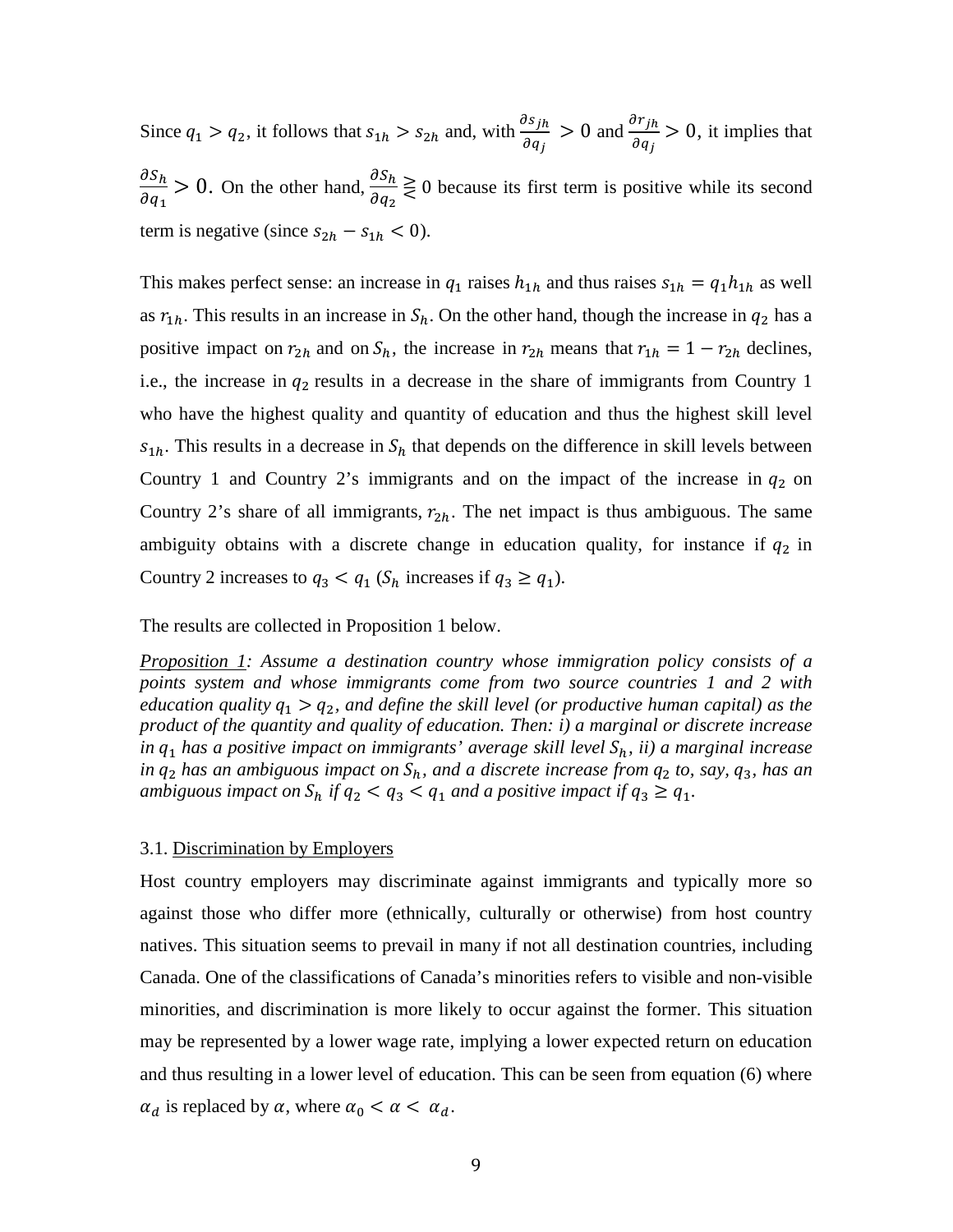Since  $q_1 > q_2$ , it follows that  $s_{1h} > s_{2h}$  and, with  $\frac{\partial s_{jh}}{\partial q_i}$  $\frac{\partial s_{jh}}{\partial q_j} > 0$  and  $\frac{\partial r_{jh}}{\partial q_j}$  $\frac{\partial f}{\partial q_j} > 0$ , it implies that  $\partial S_h$  $\frac{\partial S_h}{\partial q_1} > 0$ . On the other hand,  $\frac{\partial S_h}{\partial q_2}$  $\frac{\partial u}{\partial q_2} \ge 0$  because its first term is positive while its second term is negative (since  $s_{2h} - s_{1h} < 0$ ).

This makes perfect sense: an increase in  $q_1$  raises  $h_{1h}$  and thus raises  $s_{1h} = q_1 h_{1h}$  as well as  $r_{1h}$ . This results in an increase in  $S_h$ . On the other hand, though the increase in  $q_2$  has a positive impact on  $r_{2h}$  and on  $S_h$ , the increase in  $r_{2h}$  means that  $r_{1h} = 1 - r_{2h}$  declines, i.e., the increase in  $q_2$  results in a decrease in the share of immigrants from Country 1 who have the highest quality and quantity of education and thus the highest skill level  $s_{1h}$ . This results in a decrease in  $S_h$  that depends on the difference in skill levels between Country 1 and Country 2's immigrants and on the impact of the increase in  $q_2$  on Country 2's share of all immigrants,  $r_{2h}$ . The net impact is thus ambiguous. The same ambiguity obtains with a discrete change in education quality, for instance if  $q_2$  in Country 2 increases to  $q_3 < q_1$  ( $S_h$  increases if  $q_3 \geq q_1$ ).

The results are collected in Proposition 1 below.

*Proposition 1: Assume a destination country whose immigration policy consists of a points system and whose immigrants come from two source countries 1 and 2 with education quality*  $q_1 > q_2$ , and define the skill level (or productive human capital) as the *product of the quantity and quality of education. Then: i) a marginal or discrete increase in q*<sub>1</sub> *has a positive impact on immigrants' average skill level*  $S_h$ , *ii*) *a marginal increase in*  $q_2$  *has an ambiguous impact on*  $S_h$ *, and a discrete increase from*  $q_2$  *to, say,*  $q_3$ *, has an ambiguous impact on*  $S_h$  *if*  $q_2 < q_3 < q_1$  *and a positive impact if*  $q_3 \geq q_1$ *.* 

#### 3.1. Discrimination by Employers

Host country employers may discriminate against immigrants and typically more so against those who differ more (ethnically, culturally or otherwise) from host country natives. This situation seems to prevail in many if not all destination countries, including Canada. One of the classifications of Canada's minorities refers to visible and non-visible minorities, and discrimination is more likely to occur against the former. This situation may be represented by a lower wage rate, implying a lower expected return on education and thus resulting in a lower level of education. This can be seen from equation (6) where  $\alpha_d$  is replaced by  $\alpha$ , where  $\alpha_0 < \alpha < \alpha_d$ .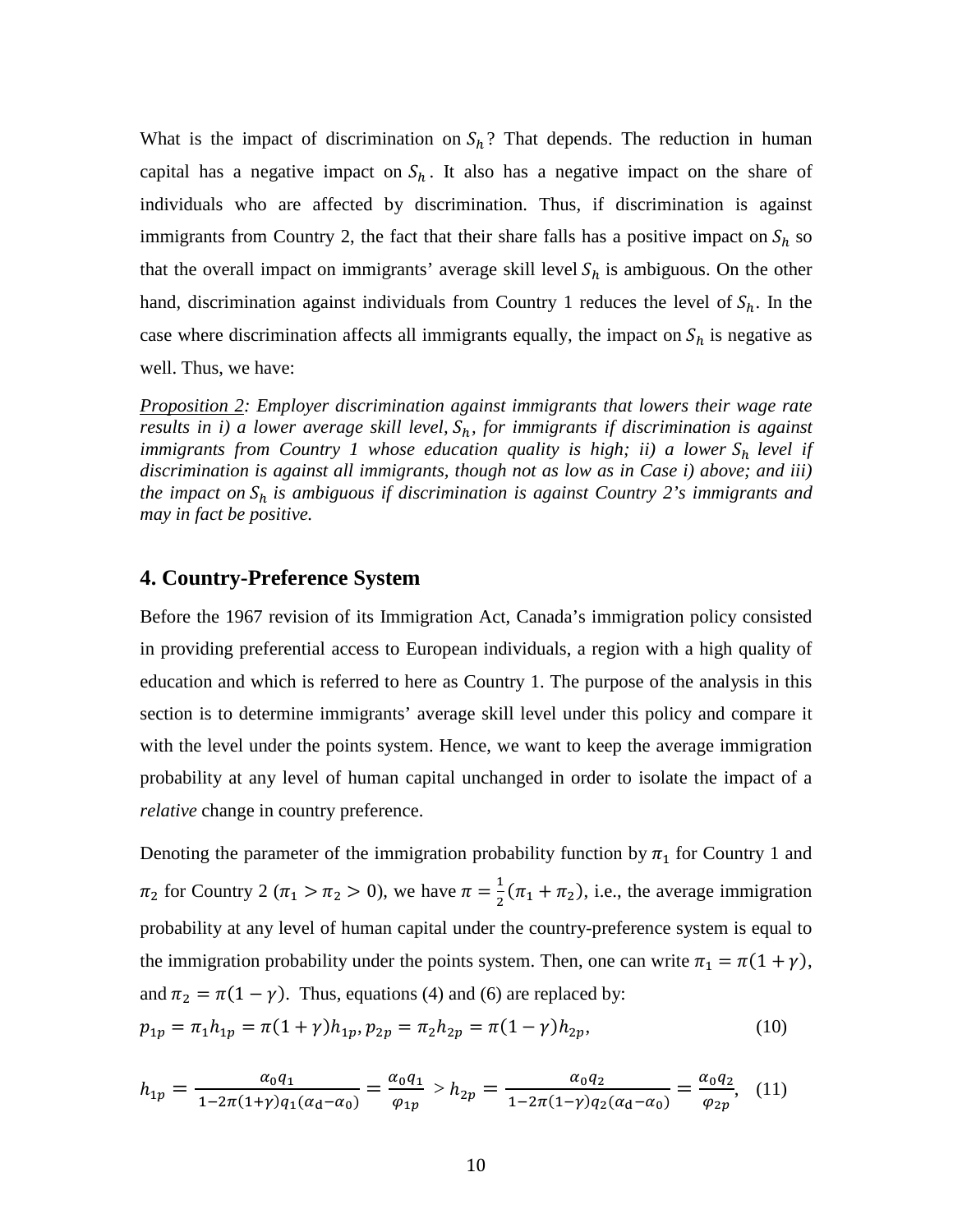What is the impact of discrimination on  $S_h$ ? That depends. The reduction in human capital has a negative impact on  $S_h$ . It also has a negative impact on the share of individuals who are affected by discrimination. Thus, if discrimination is against immigrants from Country 2, the fact that their share falls has a positive impact on  $S_h$  so that the overall impact on immigrants' average skill level  $S_h$  is ambiguous. On the other hand, discrimination against individuals from Country 1 reduces the level of  $S_h$ . In the case where discrimination affects all immigrants equally, the impact on  $S_h$  is negative as well. Thus, we have:

*Proposition 2: Employer discrimination against immigrants that lowers their wage rate results in i) a lower average skill level*,  $S_h$ , *for immigrants if discrimination is against immigrants from Country 1 whose education quality is high; ii) a lower*  $S_h$  *level if discrimination is against all immigrants, though not as low as in Case i) above; and iii) the impact on*  $S_h$  *is ambiguous if discrimination is against Country 2's immigrants and may in fact be positive.* 

### **4. Country-Preference System**

Before the 1967 revision of its Immigration Act, Canada's immigration policy consisted in providing preferential access to European individuals, a region with a high quality of education and which is referred to here as Country 1. The purpose of the analysis in this section is to determine immigrants' average skill level under this policy and compare it with the level under the points system. Hence, we want to keep the average immigration probability at any level of human capital unchanged in order to isolate the impact of a *relative* change in country preference.

Denoting the parameter of the immigration probability function by  $\pi_1$  for Country 1 and  $\pi_2$  for Country 2 ( $\pi_1 > \pi_2 > 0$ ), we have  $\pi = \frac{1}{2}(\pi_1 + \pi_2)$ , i.e., the average immigration probability at any level of human capital under the country-preference system is equal to the immigration probability under the points system. Then, one can write  $\pi_1 = \pi(1 + \gamma)$ , and  $\pi_2 = \pi(1 - \gamma)$ . Thus, equations (4) and (6) are replaced by:

$$
p_{1p} = \pi_1 h_{1p} = \pi (1 + \gamma) h_{1p}, p_{2p} = \pi_2 h_{2p} = \pi (1 - \gamma) h_{2p},
$$
\n(10)

$$
h_{1p} = \frac{\alpha_0 q_1}{1 - 2\pi (1 + \gamma) q_1 (\alpha_d - \alpha_0)} = \frac{\alpha_0 q_1}{\varphi_{1p}} > h_{2p} = \frac{\alpha_0 q_2}{1 - 2\pi (1 - \gamma) q_2 (\alpha_d - \alpha_0)} = \frac{\alpha_0 q_2}{\varphi_{2p}},
$$
(11)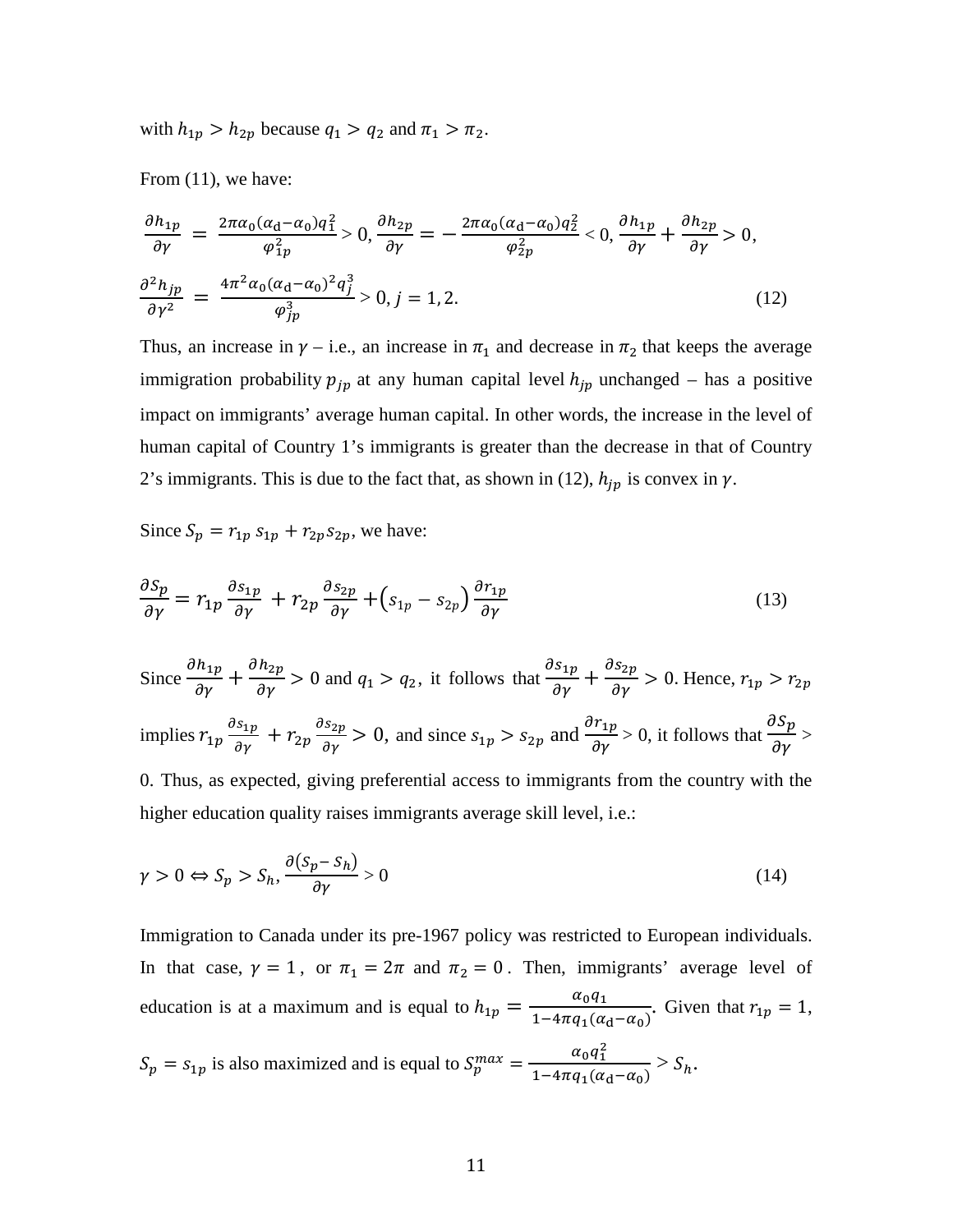with  $h_{1p} > h_{2p}$  because  $q_1 > q_2$  and  $\pi_1 > \pi_2$ .

From (11), we have:

$$
\frac{\partial h_{1p}}{\partial \gamma} = \frac{2\pi a_0 (a_d - a_0) q_1^2}{\varphi_{1p}^2} > 0, \frac{\partial h_{2p}}{\partial \gamma} = -\frac{2\pi a_0 (a_d - a_0) q_2^2}{\varphi_{2p}^2} < 0, \frac{\partial h_{1p}}{\partial \gamma} + \frac{\partial h_{2p}}{\partial \gamma} > 0,
$$
  

$$
\frac{\partial^2 h_{jp}}{\partial \gamma^2} = \frac{4\pi^2 a_0 (a_d - a_0)^2 q_j^3}{\varphi_{jp}^3} > 0, j = 1, 2.
$$
 (12)

Thus, an increase in  $\gamma$  – i.e., an increase in  $\pi_1$  and decrease in  $\pi_2$  that keeps the average immigration probability  $p_{jp}$  at any human capital level  $h_{jp}$  unchanged – has a positive impact on immigrants' average human capital. In other words, the increase in the level of human capital of Country 1's immigrants is greater than the decrease in that of Country 2's immigrants. This is due to the fact that, as shown in (12),  $h_{jp}$  is convex in  $\gamma$ .

Since  $S_p = r_{1p} s_{1p} + r_{2p} s_{2p}$ , we have:

$$
\frac{\partial S_p}{\partial \gamma} = r_{1p} \frac{\partial s_{1p}}{\partial \gamma} + r_{2p} \frac{\partial s_{2p}}{\partial \gamma} + \left(s_{1p} - s_{2p}\right) \frac{\partial r_{1p}}{\partial \gamma} \tag{13}
$$

Since 
$$
\frac{\partial h_{1p}}{\partial \gamma} + \frac{\partial h_{2p}}{\partial \gamma} > 0
$$
 and  $q_1 > q_2$ , it follows that  $\frac{\partial s_{1p}}{\partial \gamma} + \frac{\partial s_{2p}}{\partial \gamma} > 0$ . Hence,  $r_{1p} > r_{2p}$   
implies  $r_{1p} \frac{\partial s_{1p}}{\partial \gamma} + r_{2p} \frac{\partial s_{2p}}{\partial \gamma} > 0$ , and since  $s_{1p} > s_{2p}$  and  $\frac{\partial r_{1p}}{\partial \gamma} > 0$ , it follows that  $\frac{\partial s_p}{\partial \gamma} >$ 

0. Thus, as expected, giving preferential access to immigrants from the country with the higher education quality raises immigrants average skill level, i.e.:

$$
\gamma > 0 \Leftrightarrow S_p > S_h, \frac{\partial (S_p - S_h)}{\partial \gamma} > 0 \tag{14}
$$

Immigration to Canada under its pre-1967 policy was restricted to European individuals. In that case,  $\gamma = 1$ , or  $\pi_1 = 2\pi$  and  $\pi_2 = 0$ . Then, immigrants' average level of education is at a maximum and is equal to  $h_{1p} = \frac{\alpha_0 q_1}{1 - 4\pi q_1(\alpha_d - \alpha_0)}$ . Given that  $r_{1p} = 1$ ,

 $S_p = s_{1p}$  is also maximized and is equal to  $S_p^{max} = \frac{\alpha_0 q_1^2}{1 - 4\pi q_1(\alpha_d - \alpha_0)} > S_h$ .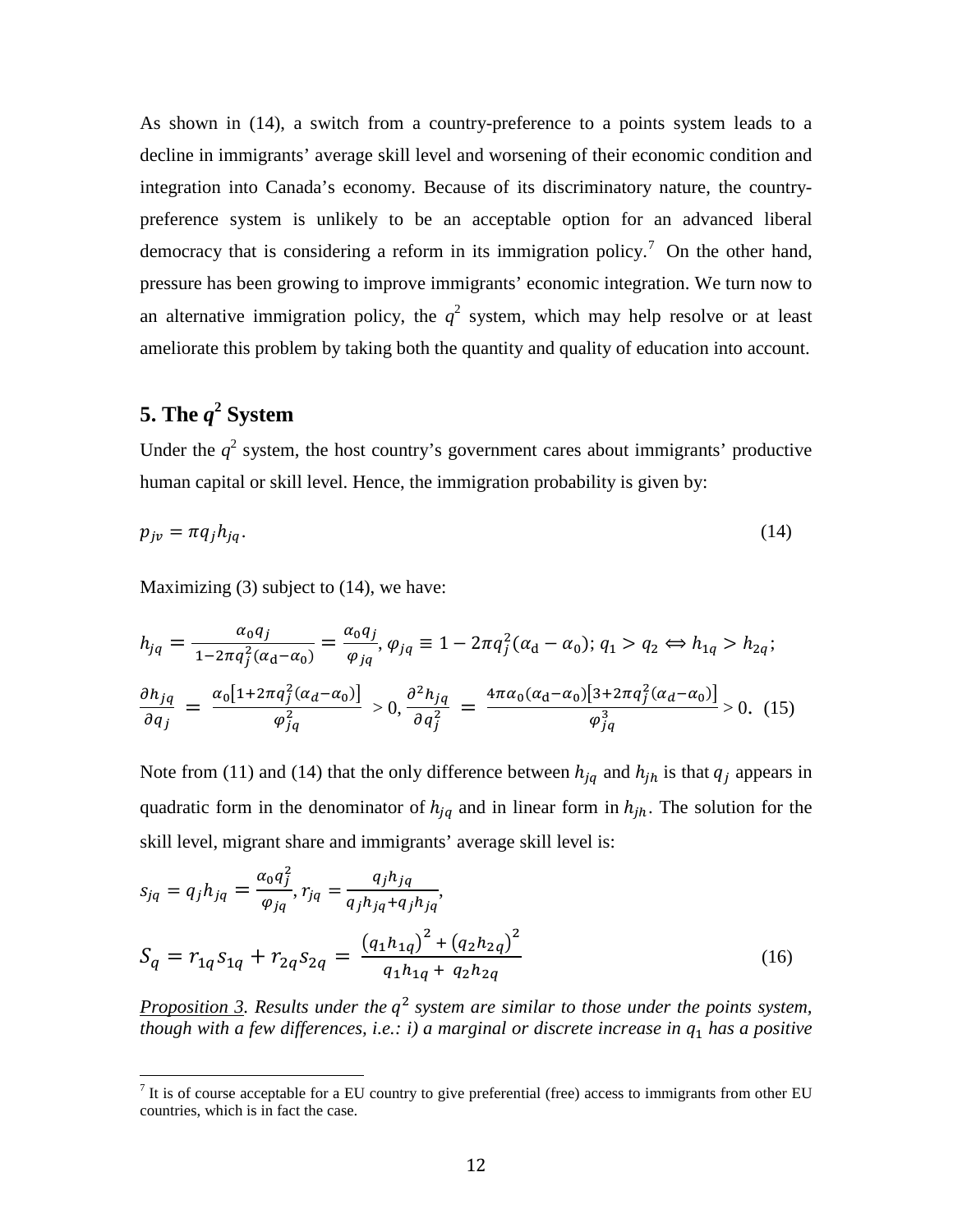As shown in (14), a switch from a country-preference to a points system leads to a decline in immigrants' average skill level and worsening of their economic condition and integration into Canada's economy. Because of its discriminatory nature, the countrypreference system is unlikely to be an acceptable option for an advanced liberal democracy that is considering a reform in its immigration policy.<sup>[7](#page-10-0)</sup> On the other hand, pressure has been growing to improve immigrants' economic integration. We turn now to an alternative immigration policy, the  $q^2$  system, which may help resolve or at least ameliorate this problem by taking both the quantity and quality of education into account.

# **5. The**  $q^2$  **System**

Under the  $q^2$  system, the host country's government cares about immigrants' productive human capital or skill level. Hence, the immigration probability is given by:

$$
p_{j\nu} = \pi q_j h_{jq}.\tag{14}
$$

Maximizing (3) subject to (14), we have:

$$
h_{jq} = \frac{\alpha_0 q_j}{1 - 2\pi q_j^2 (\alpha_d - \alpha_0)} = \frac{\alpha_0 q_j}{\varphi_{jq}}, \varphi_{jq} \equiv 1 - 2\pi q_j^2 (\alpha_d - \alpha_0); q_1 > q_2 \Leftrightarrow h_{1q} > h_{2q};
$$
  

$$
\frac{\partial h_{jq}}{\partial q_j} = \frac{\alpha_0 [1 + 2\pi q_j^2 (\alpha_d - \alpha_0)]}{\varphi_{jq}^2} > 0, \frac{\partial^2 h_{jq}}{\partial q_j^2} = \frac{4\pi \alpha_0 (\alpha_d - \alpha_0) [3 + 2\pi q_j^2 (\alpha_d - \alpha_0)]}{\varphi_{jq}^3} > 0.
$$
 (15)

Note from (11) and (14) that the only difference between  $h_{jq}$  and  $h_{jh}$  is that  $q_j$  appears in quadratic form in the denominator of  $h_{iq}$  and in linear form in  $h_{ih}$ . The solution for the skill level, migrant share and immigrants' average skill level is:

$$
s_{jq} = q_j h_{jq} = \frac{\alpha_0 q_j^2}{\varphi_{jq}}, r_{jq} = \frac{q_j h_{jq}}{q_j h_{jq} + q_j h_{jq}},
$$
  

$$
S_q = r_{1q} s_{1q} + r_{2q} s_{2q} = \frac{(q_1 h_{1q})^2 + (q_2 h_{2q})^2}{q_1 h_{1q} + q_2 h_{2q}}
$$
(16)

<span id="page-14-0"></span>*Proposition 3. Results under the*  $q^2$  *system are similar to those under the points system, though with a few differences, i.e.: i) a marginal or discrete increase in*  $q_1$  *has a positive* 

 $<sup>7</sup>$  It is of course acceptable for a EU country to give preferential (free) access to immigrants from other EU</sup> countries, which is in fact the case.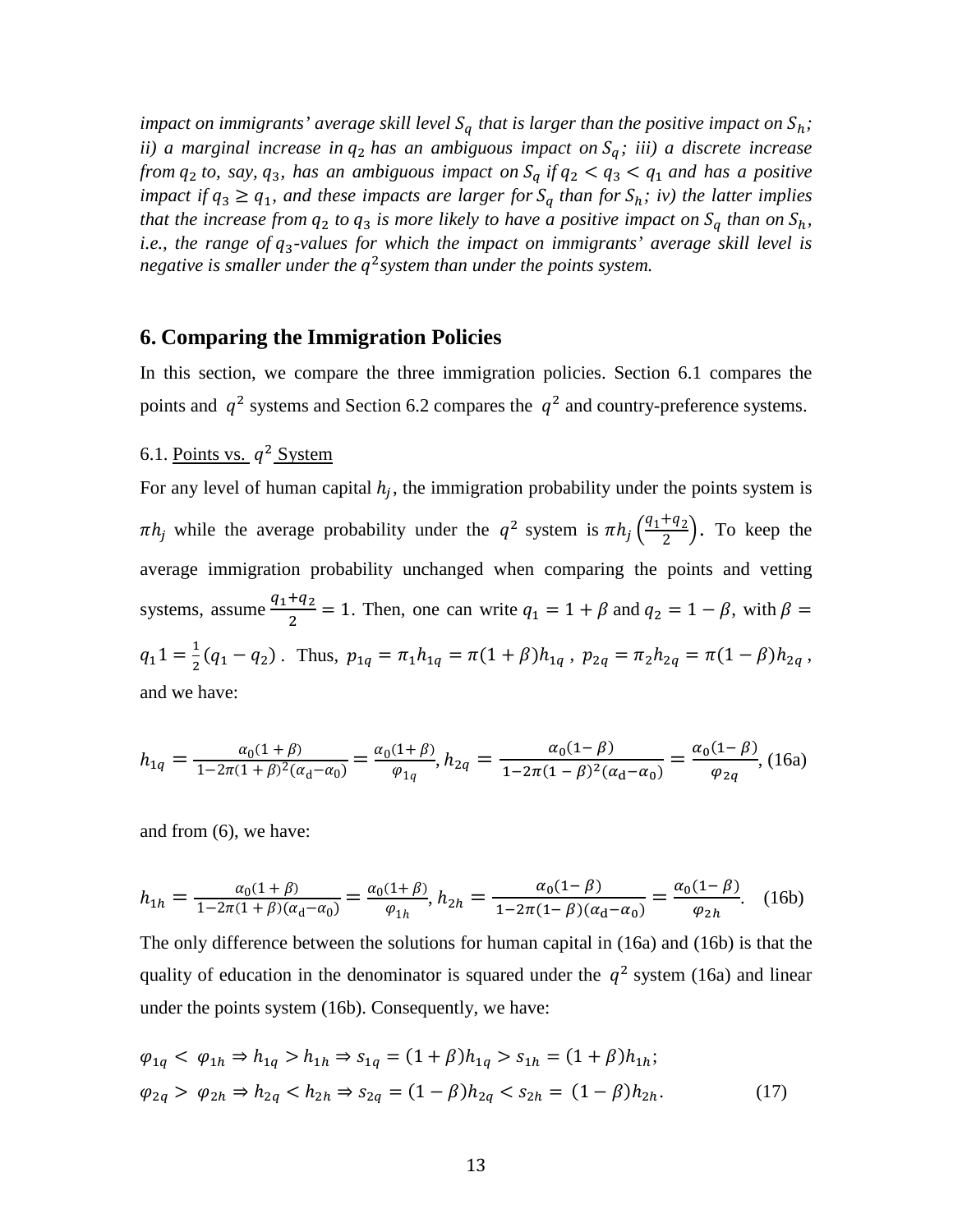*impact on immigrants' average skill level*  $S_q$  that is larger than the positive impact on  $S_h$ ; *ii) a marginal increase in*  $q_2$  *has an ambiguous impact on*  $S_q$ ; *iii) a discrete increase from*  $q_2$  *to, say,*  $q_3$ *, has an ambiguous impact on*  $S_q$  *if*  $q_2 < q_3 < q_1$  *and has a positive impact if*  $q_3 \geq q_1$ *, and these impacts are larger for*  $S_q$  *than for*  $S_h$ *; iv) the latter implies that the increase from*  $q_2$  *to*  $q_3$  *is more likely to have a positive impact on*  $S_q$  *than on*  $S_h$ *, i.e., the range of*  $q_3$ -values for which the *impact on immigrants' average skill level is negative is smaller under the q*<sup>2</sup> *system than under the points system.* 

### **6. Comparing the Immigration Policies**

In this section, we compare the three immigration policies. Section 6.1 compares the points and  $q^2$  systems and Section 6.2 compares the  $q^2$  and country-preference systems.

## 6.1. Points vs.  $q^2$  System

For any level of human capital  $h_i$ , the immigration probability under the points system is  $\pi h_j$  while the average probability under the  $q^2$  system is  $\pi h_j \left( \frac{q_1 + q_2}{2} \right)$ . To keep the average immigration probability unchanged when comparing the points and vetting systems, assume  $\frac{q_1+q_2}{2} = 1$ . Then, one can write  $q_1 = 1 + \beta$  and  $q_2 = 1 - \beta$ , with  $\beta =$  $q_1 1 = \frac{1}{2}(q_1 - q_2)$ . Thus,  $p_{1q} = \pi_1 h_{1q} = \pi(1 + \beta)h_{1q}$ ,  $p_{2q} = \pi_2 h_{2q} = \pi(1 - \beta)h_{2q}$ , and we have:

$$
h_{1q} = \frac{\alpha_0 (1+\beta)}{1 - 2\pi (1+\beta)^2 (\alpha_d - \alpha_0)} = \frac{\alpha_0 (1+\beta)}{\varphi_{1q}}, h_{2q} = \frac{\alpha_0 (1-\beta)}{1 - 2\pi (1-\beta)^2 (\alpha_d - \alpha_0)} = \frac{\alpha_0 (1-\beta)}{\varphi_{2q}}, (16a)
$$

and from (6), we have:

$$
h_{1h} = \frac{\alpha_0 (1+\beta)}{1 - 2\pi (1+\beta)(\alpha_d - \alpha_0)} = \frac{\alpha_0 (1+\beta)}{\varphi_{1h}}, h_{2h} = \frac{\alpha_0 (1-\beta)}{1 - 2\pi (1-\beta)(\alpha_d - \alpha_0)} = \frac{\alpha_0 (1-\beta)}{\varphi_{2h}}.
$$
 (16b)

The only difference between the solutions for human capital in (16a) and (16b) is that the quality of education in the denominator is squared under the  $q^2$  system (16a) and linear under the points system (16b). Consequently, we have:

$$
\varphi_{1q} < \varphi_{1h} \Rightarrow h_{1q} > h_{1h} \Rightarrow s_{1q} = (1 + \beta)h_{1q} > s_{1h} = (1 + \beta)h_{1h};
$$
\n
$$
\varphi_{2q} > \varphi_{2h} \Rightarrow h_{2q} < h_{2h} \Rightarrow s_{2q} = (1 - \beta)h_{2q} < s_{2h} = (1 - \beta)h_{2h}.\tag{17}
$$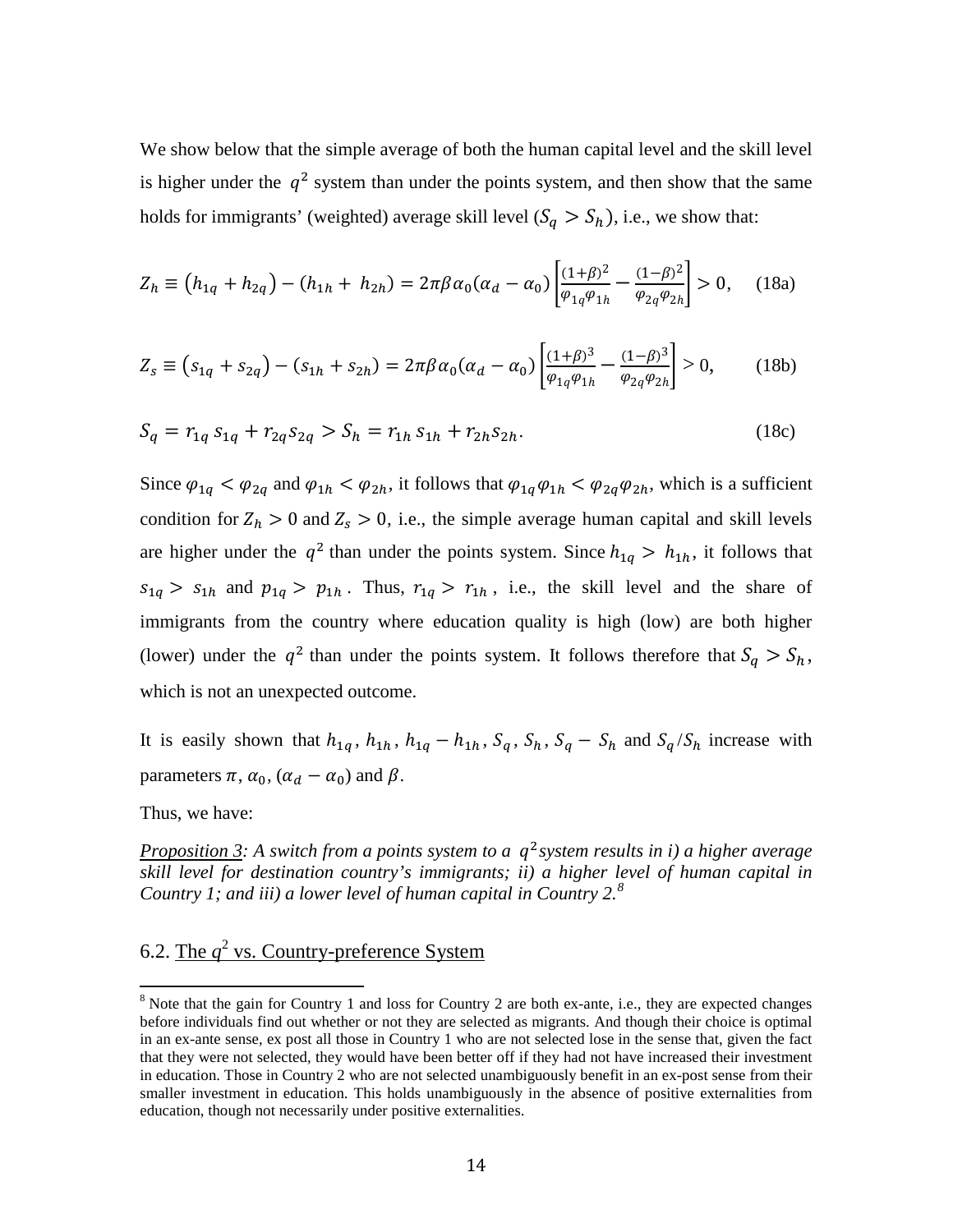We show below that the simple average of both the human capital level and the skill level is higher under the  $q^2$  system than under the points system, and then show that the same holds for immigrants' (weighted) average skill level  $(S_q > S_h)$ , i.e., we show that:

$$
Z_h \equiv \left(h_{1q} + h_{2q}\right) - \left(h_{1h} + h_{2h}\right) = 2\pi\beta\alpha_0(\alpha_d - \alpha_0) \left[\frac{(1+\beta)^2}{\varphi_{1q}\varphi_{1h}} - \frac{(1-\beta)^2}{\varphi_{2q}\varphi_{2h}}\right] > 0, \quad (18a)
$$

$$
Z_s \equiv (s_{1q} + s_{2q}) - (s_{1h} + s_{2h}) = 2\pi \beta \alpha_0 (\alpha_d - \alpha_0) \left[ \frac{(1+\beta)^3}{\varphi_{1q}\varphi_{1h}} - \frac{(1-\beta)^3}{\varphi_{2q}\varphi_{2h}} \right] > 0, \quad (18b)
$$

$$
S_q = r_{1q} s_{1q} + r_{2q} s_{2q} > S_h = r_{1h} s_{1h} + r_{2h} s_{2h}.
$$
 (18c)

Since  $\varphi_{1q} < \varphi_{2q}$  and  $\varphi_{1h} < \varphi_{2h}$ , it follows that  $\varphi_{1q}\varphi_{1h} < \varphi_{2q}\varphi_{2h}$ , which is a sufficient condition for  $Z_h > 0$  and  $Z_s > 0$ , i.e., the simple average human capital and skill levels are higher under the  $q^2$  than under the points system. Since  $h_{1q} > h_{1h}$ , it follows that  $s_{1q} > s_{1h}$  and  $p_{1q} > p_{1h}$ . Thus,  $r_{1q} > r_{1h}$ , i.e., the skill level and the share of immigrants from the country where education quality is high (low) are both higher (lower) under the  $q^2$  than under the points system. It follows therefore that  $S_q > S_h$ , which is not an unexpected outcome.

It is easily shown that  $h_{1q}$ ,  $h_{1h}$ ,  $h_{1q} - h_{1h}$ ,  $S_q$ ,  $S_h$ ,  $S_q - S_h$  and  $S_q/S_h$  increase with parameters  $\pi$ ,  $\alpha_0$ ,  $(\alpha_d - \alpha_0)$  and  $\beta$ .

Thus, we have:

*Proposition 3:* A *switch from a points system to a*  $q^2$  *system results in <i>i*) a higher *average skill level for destination country's immigrants; ii) a higher level of human capital in Country 1; and iii) a lower level of human capital in Country 2. [8](#page-14-0)* 

# 6.2. The *q* <sup>2</sup> vs. Country-preference System

<span id="page-16-0"></span><sup>&</sup>lt;sup>8</sup> Note that the gain for Country 1 and loss for Country 2 are both ex-ante, i.e., they are expected changes before individuals find out whether or not they are selected as migrants. And though their choice is optimal in an ex-ante sense, ex post all those in Country 1 who are not selected lose in the sense that, given the fact that they were not selected, they would have been better off if they had not have increased their investment in education. Those in Country 2 who are not selected unambiguously benefit in an ex-post sense from their smaller investment in education. This holds unambiguously in the absence of positive externalities from education, though not necessarily under positive externalities.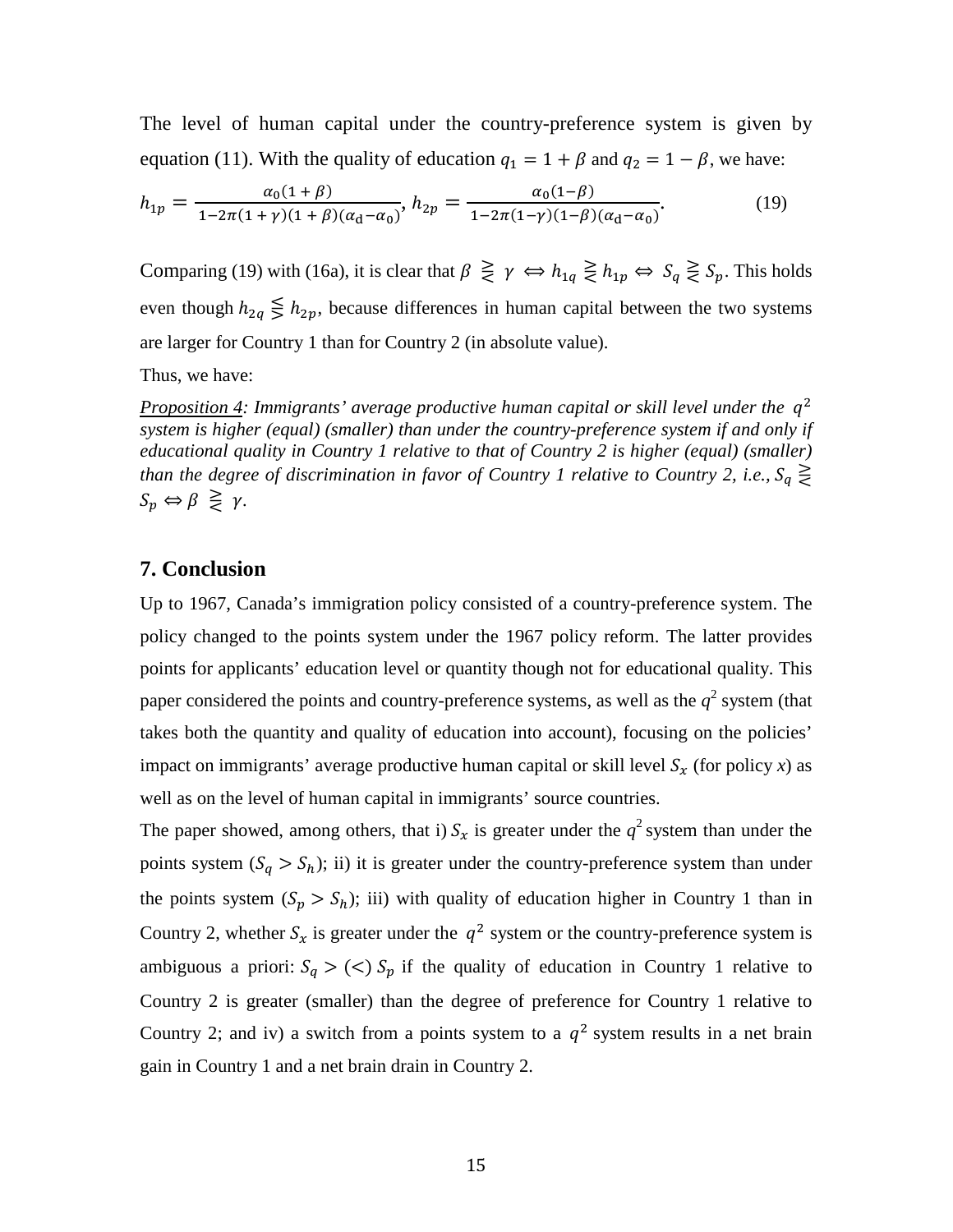The level of human capital under the country-preference system is given by equation (11). With the quality of education  $q_1 = 1 + \beta$  and  $q_2 = 1 - \beta$ , we have:

$$
h_{1p} = \frac{\alpha_0(1+\beta)}{1-2\pi(1+\gamma)(1+\beta)(\alpha_d-\alpha_0)}, \quad h_{2p} = \frac{\alpha_0(1-\beta)}{1-2\pi(1-\gamma)(1-\beta)(\alpha_d-\alpha_0)}.\tag{19}
$$

Comparing (19) with (16a), it is clear that  $\beta \geq \gamma \Leftrightarrow h_{1q} \geq h_{1p} \Leftrightarrow S_q \geq S_p$ . This holds even though  $h_{2q} \leq h_{2p}$ , because differences in human capital between the two systems are larger for Country 1 than for Country 2 (in absolute value).

Thus, we have:

*Proposition 4: Immigrants' average productive human capital or skill level under the*  $q^2$ *system is higher (equal) (smaller) than under the country-preference system if and only if educational quality in Country 1 relative to that of Country 2 is higher (equal) (smaller) than the degree of discrimination in favor of Country 1 relative to Country 2, i.e.,*  $S_q \geq$  $S_p \Leftrightarrow \beta \geq \gamma$ .

### **7. Conclusion**

Up to 1967, Canada's immigration policy consisted of a country-preference system. The policy changed to the points system under the 1967 policy reform. The latter provides points for applicants' education level or quantity though not for educational quality. This paper considered the points and country-preference systems, as well as the  $q^2$  system (that takes both the quantity and quality of education into account), focusing on the policies' impact on immigrants' average productive human capital or skill level  $S_x$  (for policy *x*) as well as on the level of human capital in immigrants' source countries.

The paper showed, among others, that i)  $S_x$  is greater under the  $q^2$  system than under the points system  $(S_q > S_h)$ ; ii) it is greater under the country-preference system than under the points system  $(S_p > S_h)$ ; iii) with quality of education higher in Country 1 than in Country 2, whether  $S_x$  is greater under the  $q^2$  system or the country-preference system is ambiguous a priori:  $S_q > \langle \langle \rangle \rangle$  if the quality of education in Country 1 relative to Country 2 is greater (smaller) than the degree of preference for Country 1 relative to Country 2; and iv) a switch from a points system to a  $q^2$  system results in a net brain gain in Country 1 and a net brain drain in Country 2.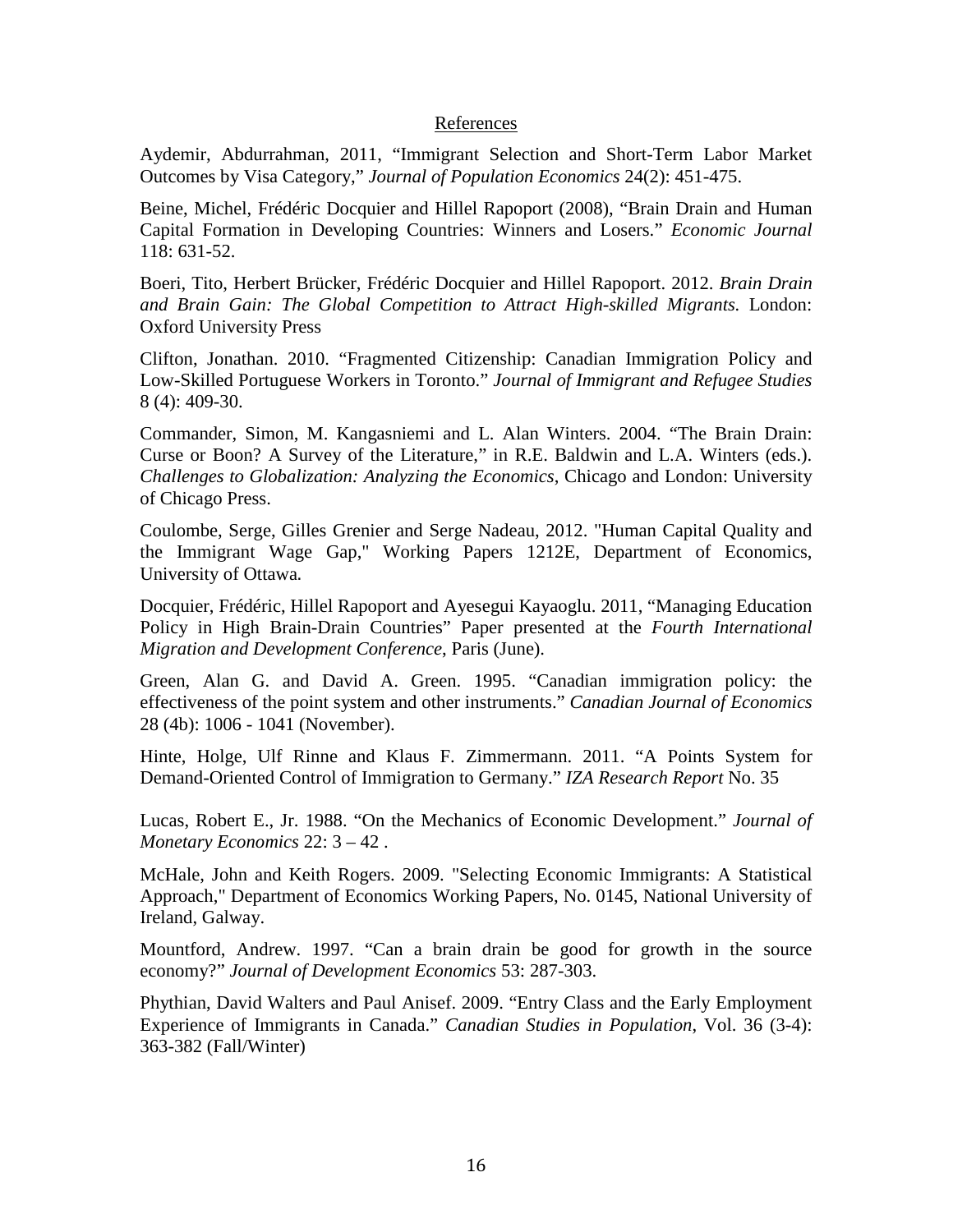#### References

Aydemir, Abdurrahman, 2011, "Immigrant Selection and Short-Term Labor Market Outcomes by Visa Category," *Journal of Population Economics* 24(2): 451-475.

Beine, Michel, Frédéric Docquier and Hillel Rapoport (2008), "Brain Drain and Human Capital Formation in Developing Countries: Winners and Losers." *Economic Journal* 118: 631-52.

Boeri, Tito, Herbert Brücker, Frédéric Docquier and Hillel Rapoport. 2012. *[Brain Drain](http://books.google.com/books?hl=en&lr=&id=3fxFK6ZpE40C&oi=fnd&pg=PP2&dq=info:LlGQAE33t5EJ:scholar.google.com&ots=jLMqKbSuAv&sig=nw5dj9B_njRkuzetvPkkcRxdDTM)  [and Brain Gain: The Global Competition to Attract High-skilled Migrants.](http://books.google.com/books?hl=en&lr=&id=3fxFK6ZpE40C&oi=fnd&pg=PP2&dq=info:LlGQAE33t5EJ:scholar.google.com&ots=jLMqKbSuAv&sig=nw5dj9B_njRkuzetvPkkcRxdDTM)* London: Oxford University Press

[Clifton,](http://www.tandfonline.com/action/doSearch?action=runSearch&type=advanced&searchType=journal&result=true&prevSearch=%2Bauthorsfield%3A%28Clifton%2C+J%29) Jonathan. 2010. "Fragmented Citizenship: Canadian Immigration Policy and Low-Skilled Portuguese Workers in Toronto." *Journal of Immigrant and Refugee Studies* [8](http://www.tandfonline.com/loi/wimm20?open=8#vol_8) (4): 409-30.

Commander, Simon, M. Kangasniemi and L. Alan Winters. 2004. "The Brain Drain: Curse or Boon? A Survey of the Literature," in R.E. Baldwin and L.A. Winters (eds.). *Challenges to Globalization: Analyzing the Economics*, Chicago and London: University of Chicago Press.

Coulombe, Serge, Gilles Grenier and Serge Nadeau, 2012. ["Human Capital Quality and](http://ideas.repec.org/p/ott/wpaper/1212e.html)  [the Immigrant Wage Gap,](http://ideas.repec.org/p/ott/wpaper/1212e.html)" [Working Papers](http://ideas.repec.org/s/ott/wpaper.html) 1212E, Department of Economics, University of Ottawa.

Docquier, Frédéric, Hillel Rapoport and Ayesegui Kayaoglu. 2011, "Managing Education Policy in High Brain-Drain Countries" Paper presented at the *Fourth International Migration and Development Conference*, Paris (June).

Green, Alan G. and David A. Green. 1995. "Canadian immigration policy: the effectiveness of the point system and other instruments." *Canadian Journal of Economics* 28 (4b): 1006 - 1041 (November).

Hinte, Holge, Ulf Rinne and Klaus F. Zimmermann. 2011. "A Points System for Demand-Oriented Control of Immigration to Germany." *IZA Research Report* No. 35

Lucas, Robert E., Jr. 1988. "On the Mechanics of Economic Development." *Journal of Monetary Economics* 22: 3 – 42 .

McHale, John and Keith Rogers. 2009. ["Selecting Economic Immigrants: A Statistical](http://ideas.repec.org/p/nig/wpaper/0145.html)  [Approach,](http://ideas.repec.org/p/nig/wpaper/0145.html)" Department of Economics Working Papers, No. 0145, National University of Ireland, Galway.

Mountford, Andrew. 1997. "Can a brain drain be good for growth in the source economy?" *Journal of Development Economics* 53: 287-303.

Phythian, David Walters and Paul Anisef. 2009. "Entry Class and the Early Employment Experience of Immigrants in Canada." *Canadian Studies in Population*, Vol. 36 (3-4): 363-382 (Fall/Winter)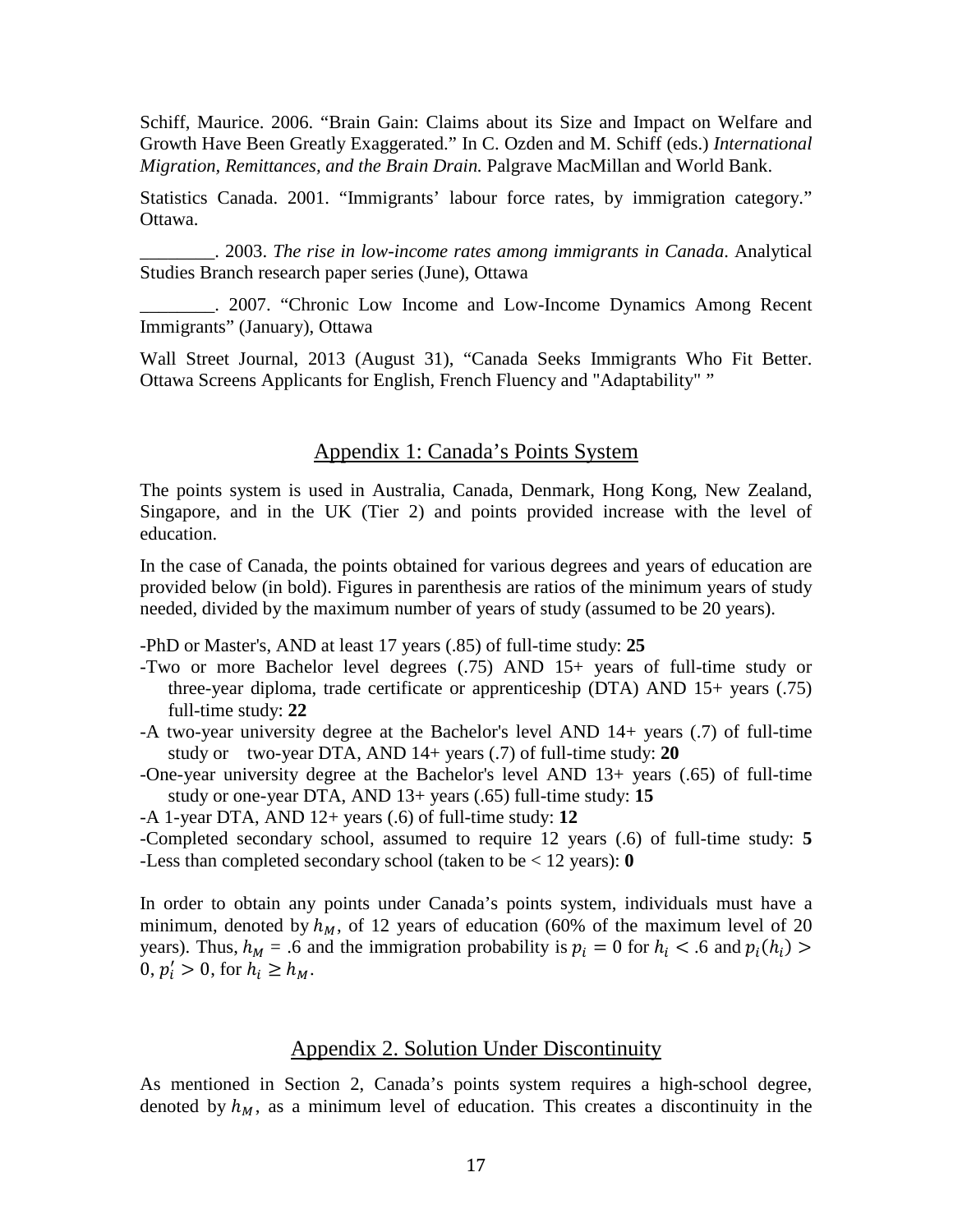Schiff, Maurice. 2006. "Brain Gain: Claims about its Size and Impact on Welfare and Growth Have Been Greatly Exaggerated." In C. Ozden and M. Schiff (eds.) *International Migration, Remittances, and the Brain Drain.* Palgrave MacMillan and World Bank.

Statistics Canada. 2001. "Immigrants' labour force rates, by immigration category." Ottawa.

\_\_\_\_\_\_\_\_. 2003. *The rise in low-income rates among immigrants in Canada*. Analytical Studies Branch research paper series (June), Ottawa

\_\_\_\_\_\_\_\_. 2007. "Chronic Low Income and Low-Income Dynamics Among Recent Immigrants" (January), Ottawa

Wall Street Journal, 2013 (August 31), "Canada Seeks Immigrants Who Fit Better. Ottawa Screens Applicants for English, French Fluency and "Adaptability" "

### Appendix 1: Canada's Points System

The points system is used in Australia, Canada, Denmark, Hong Kong, New Zealand, Singapore, and in the UK (Tier 2) and points provided increase with the level of education.

In the case of Canada, the points obtained for various degrees and years of education are provided below (in bold). Figures in parenthesis are ratios of the minimum years of study needed, divided by the maximum number of years of study (assumed to be 20 years).

-PhD or Master's, AND at least 17 years (.85) of full-time study: **25**

- -Two or more Bachelor level degrees (.75) AND 15+ years of full-time study or three-year diploma, trade certificate or apprenticeship (DTA) AND 15+ years (.75) full-time study: **22**
- -A two-year university degree at the Bachelor's level AND 14+ years (.7) of full-time study or two-year DTA, AND 14+ years (.7) of full-time study: **20**
- -One-year university degree at the Bachelor's level AND 13+ years (.65) of full-time study or one-year DTA, AND 13+ years (.65) full-time study: **15**

-A 1-year DTA, AND 12+ years (.6) of full-time study: **12**

-Completed secondary school, assumed to require 12 years (.6) of full-time study: **5** -Less than completed secondary school (taken to be < 12 years): **0** 

In order to obtain any points under Canada's points system, individuals must have a minimum, denoted by  $h_M$ , of 12 years of education (60% of the maximum level of 20 years). Thus,  $h_M = .6$  and the immigration probability is  $p_i = 0$  for  $h_i < .6$  and  $p_i(h_i) >$  $0, p'_i > 0$ , for  $h_i \ge h_M$ .

### Appendix 2. Solution Under Discontinuity

As mentioned in Section 2, Canada's points system requires a high-school degree, denoted by  $h_M$ , as a minimum level of education. This creates a discontinuity in the